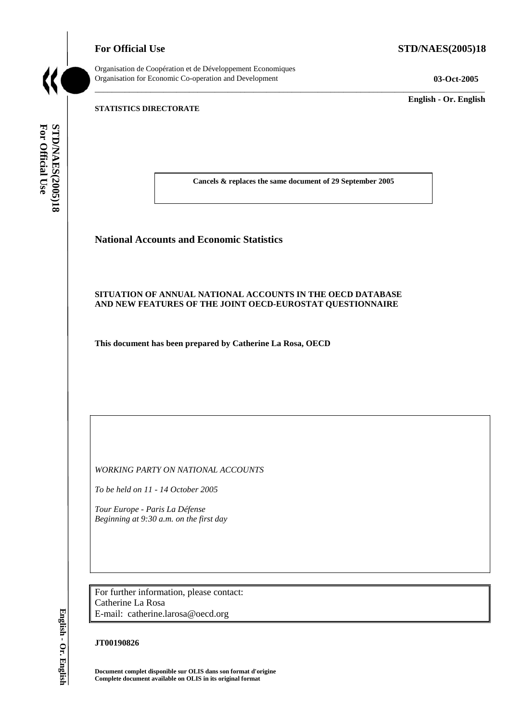**For Official Use STD/NAES(2005)18** 



Organisation de Coopération et de Développement Economiques Organisation for Economic Co-operation and Development **03-Oct-2005** 

\_\_\_\_\_\_\_\_\_\_\_\_\_ **English - Or. English** 

# **STATISTICS DIRECTORATE**

For Official Use STO/NAES(2005)18 **For Official Use STD/NAES(2005)18 English - Or. English**

**Cancels & replaces the same document of 29 September 2005** 

\_\_\_\_\_\_\_\_\_\_\_\_\_\_\_\_\_\_\_\_\_\_\_\_\_\_\_\_\_\_\_\_\_\_\_\_\_\_\_\_\_\_\_\_\_\_\_\_\_\_\_\_\_\_\_\_\_\_\_\_\_\_\_\_\_\_\_\_\_\_\_\_\_\_\_\_\_\_\_\_\_\_\_\_\_\_\_\_\_\_\_

# **National Accounts and Economic Statistics**

# **SITUATION OF ANNUAL NATIONAL ACCOUNTS IN THE OECD DATABASE AND NEW FEATURES OF THE JOINT OECD-EUROSTAT QUESTIONNAIRE**

**This document has been prepared by Catherine La Rosa, OECD** 

*WORKING PARTY ON NATIONAL ACCOUNTS* 

*To be held on 11 - 14 October 2005* 

*Tour Europe - Paris La Défense Beginning at 9:30 a.m. on the first day* 

For further information, please contact: Catherine La Rosa E-mail: catherine.larosa@oecd.org

# **JT00190826**

**Document complet disponible sur OLIS dans son format d'origine Complete document available on OLIS in its original format** 

English - Or. English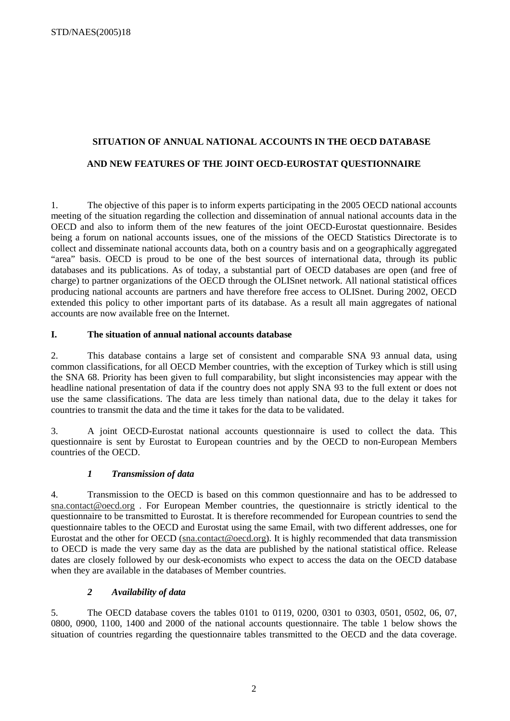# **SITUATION OF ANNUAL NATIONAL ACCOUNTS IN THE OECD DATABASE**

# **AND NEW FEATURES OF THE JOINT OECD-EUROSTAT QUESTIONNAIRE**

1. The objective of this paper is to inform experts participating in the 2005 OECD national accounts meeting of the situation regarding the collection and dissemination of annual national accounts data in the OECD and also to inform them of the new features of the joint OECD-Eurostat questionnaire. Besides being a forum on national accounts issues, one of the missions of the OECD Statistics Directorate is to collect and disseminate national accounts data, both on a country basis and on a geographically aggregated "area" basis. OECD is proud to be one of the best sources of international data, through its public databases and its publications. As of today, a substantial part of OECD databases are open (and free of charge) to partner organizations of the OECD through the OLISnet network. All national statistical offices producing national accounts are partners and have therefore free access to OLISnet. During 2002, OECD extended this policy to other important parts of its database. As a result all main aggregates of national accounts are now available free on the Internet.

# **I. The situation of annual national accounts database**

2. This database contains a large set of consistent and comparable SNA 93 annual data, using common classifications, for all OECD Member countries, with the exception of Turkey which is still using the SNA 68. Priority has been given to full comparability, but slight inconsistencies may appear with the headline national presentation of data if the country does not apply SNA 93 to the full extent or does not use the same classifications. The data are less timely than national data, due to the delay it takes for countries to transmit the data and the time it takes for the data to be validated.

3. A joint OECD-Eurostat national accounts questionnaire is used to collect the data. This questionnaire is sent by Eurostat to European countries and by the OECD to non-European Members countries of the OECD.

# *1 Transmission of data*

4. Transmission to the OECD is based on this common questionnaire and has to be addressed to sna.contact@oecd.org . For European Member countries, the questionnaire is strictly identical to the questionnaire to be transmitted to Eurostat. It is therefore recommended for European countries to send the questionnaire tables to the OECD and Eurostat using the same Email, with two different addresses, one for Eurostat and the other for OECD (sna.contact@oecd.org). It is highly recommended that data transmission to OECD is made the very same day as the data are published by the national statistical office. Release dates are closely followed by our desk-economists who expect to access the data on the OECD database when they are available in the databases of Member countries.

# *2 Availability of data*

5. The OECD database covers the tables 0101 to 0119, 0200, 0301 to 0303, 0501, 0502, 06, 07, 0800, 0900, 1100, 1400 and 2000 of the national accounts questionnaire. The table 1 below shows the situation of countries regarding the questionnaire tables transmitted to the OECD and the data coverage.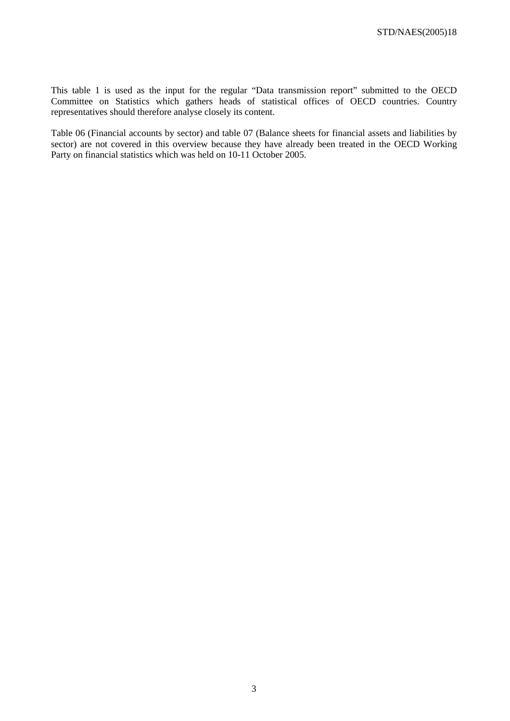This table 1 is used as the input for the regular "Data transmission report" submitted to the OECD Committee on Statistics which gathers heads of statistical offices of OECD countries. Country representatives should therefore analyse closely its content.

Table 06 (Financial accounts by sector) and table 07 (Balance sheets for financial assets and liabilities by sector) are not covered in this overview because they have already been treated in the OECD Working Party on financial statistics which was held on 10-11 October 2005.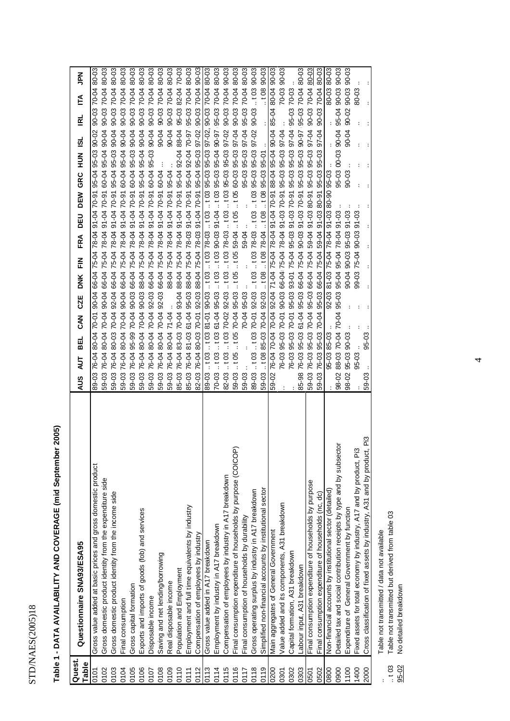# Table 1 - DATA AVAILABILITY AND COVERAGE (mid September 2005) **Table 1 - DATA AVAILABILITY AND COVERAGE (mid September 2005)**

| Quest. | Questionnaire SNA93/ESA95                                                    | $\tilde{\mathsf{d}}$<br>É<br><b>RL</b><br><u>isi</u><br>NUT<br>H<br>GRC<br>DEM<br>DEU<br>FRA<br>$\tilde{E}$<br><b>DNK</b><br>CZE<br><b>NAC</b><br>BEL<br>AUT<br><b>AUS</b>                                                                                 |
|--------|------------------------------------------------------------------------------|------------------------------------------------------------------------------------------------------------------------------------------------------------------------------------------------------------------------------------------------------------|
| Table  |                                                                              |                                                                                                                                                                                                                                                            |
| 0101   | Gross value added at basic prices and gross domestic product                 | 80-03<br>70-04<br>90-03<br>$90 - 02$<br>95-03<br>95-04<br>$70 - 91$<br>91-04<br>78-04<br>66-04 75-04<br>90-04<br>70-01<br>80-04<br>76-04<br>89-03                                                                                                          |
| 0102   | Gross domestic product identity from the expenditure side                    | 80-03<br>70-04<br>$90 - 03$<br>90-04<br>60-04 95-04<br>90-04 66-04 75-04 70-81 0-04 70-05<br>70-04<br>80-04<br>76-04<br>59-03                                                                                                                              |
| 0103   | Gross domestic product identity from the income side                         | 80-03<br>70-04<br>90-03<br>95-04 95-03 90-04<br>92-04 66-04 75-04 70-81 0-04 70-04 70-04<br><b>70-04</b><br>59-03 76-04 80-03                                                                                                                              |
| 0104   | Final consumption                                                            | 80-03<br>70-04<br>90-03<br>90-04<br>95-04<br>60-04<br>$70-91$<br>91-04<br>75-04 78-04<br>66-04<br>90-04<br>70-04<br>80-04<br>76-04<br>59-03                                                                                                                |
| 0105   | Gross capital formation                                                      | 80-03<br>70-04<br>$90 - 03$<br>90-04<br>95-03<br>60-04<br>$70 - 91$<br>91-04<br>75-04 78-04<br>66-04<br>$90 - 03$<br>70-04<br>95-99<br>76-04<br>59-03                                                                                                      |
| 0106   | Exports and imports of goods (fob) and services                              | 80-03<br>70-04<br>90-03<br>95-04 95-04 90-04<br>88-04 75-04 78-04 91-04 70-91<br>$90 - 03$<br>59-03 76-04 80-04 70-04                                                                                                                                      |
| 0107   | Disposable income                                                            | 80-03<br>70-04<br>$90 - 03$<br>90-04<br>95-03<br>60-04<br>$70-91$<br>$91 - 04$<br>66-04 75-04 78-04<br>$92 - 03$<br>70-04<br>80-04<br>59-03 76-04                                                                                                          |
| 0108   | Saving and net lending/borrowing                                             | 80-03<br>70-04<br>$90 - 03$<br>90-04<br>60-04<br>66-04 75-04 78-04 91-04 70-91<br>$92 - 03$<br>70-04<br>80-04<br>59-03 76-04                                                                                                                               |
| 0109   | Real disposable income                                                       | 80-03<br>70-04<br>90-03<br>90-04<br>95-04<br>88-04 75-04 78-04 91-04 70-91<br>71-04<br>59-03 76-04 80-04                                                                                                                                                   |
| 0110   | Population and Employment                                                    | 70-03<br>82-04<br>95-03<br>88-04<br>95-04 92-04<br>88-04 75-04 91-04 91-04 70-91<br>70-04 93-04<br>85-03 76-04 83-03                                                                                                                                       |
| 0111   | Employment and full time equivalents by industry                             | 80-03<br>70-04<br>$95 - 03$<br>95-04 92-04 70-97<br>88-04 75-04 78-03 91-04 70-91<br>85-03 76-04 81-03 61-04 95-03                                                                                                                                         |
| 0112   | Compensation of employees by industry                                        | 90-03<br>90-03 70-04<br>95-04 95-03 97-02<br>82-03 76-04 80-03 70-01 92-03 88-04 75-04 78-03 91-04 70-91                                                                                                                                                   |
| 0113   | Gross value added in A17 breakdown                                           | 70-04 80-03<br>90-03<br>$103$ $103$ $78-03$ $103$ $103$ $95-03$ $95-03$ $97-02$ ,<br>$10381 - 0190 - 03$<br>.103<br>89-03                                                                                                                                  |
| 0114   | Employment by industry in A17 breakdown                                      | 80-03<br>70-04<br>95-03<br>95-03 103 103 90-03 91-04 103 95-03 95-04 90-97<br>70-03 103 103 61-04                                                                                                                                                          |
| 0115   | Compensation of employees by industry in A17 breakdown                       | 90-03<br>70-04<br>90-03<br>82-03 . 103 . 103 70-02 92-03 . 103 78-03 . 103 . 103 . 103 . 103 . 103 . 103 . 103 . 103 . 103 . 103 . 103 . 103 . 103 . 103 . 103 . 103 . 103 . 103 . 103 . 103 . 103 . 103 . 103 . 103 . 103 . 103 . 103 . 103 . 103 . 103 . |
| 0116   | Final consumption expenditure of households by purpose (COICOP)              | 80-03<br>70-04<br>90-03<br>$105$ $105$ $70-04$ $95-03$ $105$ $105$ $59-04$ $105$ $105$ $60-03$ $95-03$ $97-04$<br>59-03                                                                                                                                    |
| 1117   | Final consumption of households by durability                                | 80-03<br>70-04<br>$95 - 03$<br>95-03 95-03 97-04<br>59-04.<br>$\ddot{\cdot}$<br>70-04 95-03<br>59-03                                                                                                                                                       |
| 0118   | Gross operating surplus by industry in A17 breakdown                         | 90-03<br>.103<br>90-03<br>89-03 11:03 11:03 70-01 92-03 11:03 11:03 11:03 11:03 11:03 11:03 11:03 11:03 11:03 11:03 11:03 11:03 11:03 1                                                                                                                    |
| 0119   | Simplified non-financial accounts by institutional sector                    | $.10890-03$<br>59-03 .t08 85-03 70-04 92-03 .t08 78-04 .t08 .t08 95-03 95-01                                                                                                                                                                               |
| 0200   | Main aggregates of General Government                                        | $90 - 03$<br>85-04 80-04<br>92-04 71-04 75-04 78-07 40-181 88-09 88-04<br>70-04<br>76-04 70-04<br>70-69                                                                                                                                                    |
| 0301   | Value added and its components, A31 breakdown                                | 70-03 90-03<br>76-03 95-03 70-01 90-03 66-04 75-04 78-04 91-03 70-91 95-03 95-03 97-04                                                                                                                                                                     |
| 0302   | Capital formation, A31 breakdown                                             | 76-03 95-03 70-01 95-03 93-04 95-03 91-03 95-03 95-03 95-03 95-04 95-03 70-03                                                                                                                                                                              |
| 0303   | Labour input, A31 breakdown                                                  | 95-03 70-04 80-03<br>95-03 61-04 95-03 66-04 75-04 90-03 91-03 70-91 95-03 95-03 90-97<br>85-98 76-03                                                                                                                                                      |
| 0501   | Final consumption expenditure of households by purpose                       | 90-03 70-04 80-03<br>59-03 76-03 95-03 70-04 95-04 59-04 91-03 80-3 80-91 95-03 95-03 97-04                                                                                                                                                                |
| 0502   | Final consumption expenditure of households (nc, dc)                         | 70-04 80-03<br>90-03<br>97-04<br>95-03 95-03<br>95-03 66-04 75-04 59-04 91-03 80-91<br>70-04<br>76-03 95-03<br>59-03                                                                                                                                       |
| 0800   | Non-financial accounts by institutional sector (detailed)                    | 80-03<br>80-03<br>92-03 81-03 75-04 78-04 91-03 80-90 95-03<br>85-03<br>$95 - 03$                                                                                                                                                                          |
| 0900   | Detailed tax and social contribution receipts by type and by subsector       | ვე-ევ<br>90-03<br>95-04<br>95-03 00-03 90-04<br>98-02 88-03 70-04 70-04 95-03 95-04 78-04 91-03                                                                                                                                                            |
| 1100   | Expenditure of General Government by function                                | 90-02 90-03 90-03<br>90-04<br>$90 - 03$<br>90-04 90-03 95-03 91-03<br>ვე-ევ<br>98-02 95-03                                                                                                                                                                 |
| 1400   | Fixed assets for total economy by industry, A17 and by product, Pi3          | 80-03<br>91-03<br>99-03 75-04 90-03<br>95-03                                                                                                                                                                                                               |
| 2000   | Pi3<br>Cross classification of fixed assets by industry, A31 and by product, | 95-03<br>59-03                                                                                                                                                                                                                                             |

Table not transmitted / data not available<br>Table not transmitted but derived from table 03<br>No detailed breakdown .. Table not transmitted / data not available

.. t 03 Table not transmitted but derived from table 03  $\frac{1}{103}$ <br> $\frac{35-02}{100}$ 

95-02 No detailed breakdown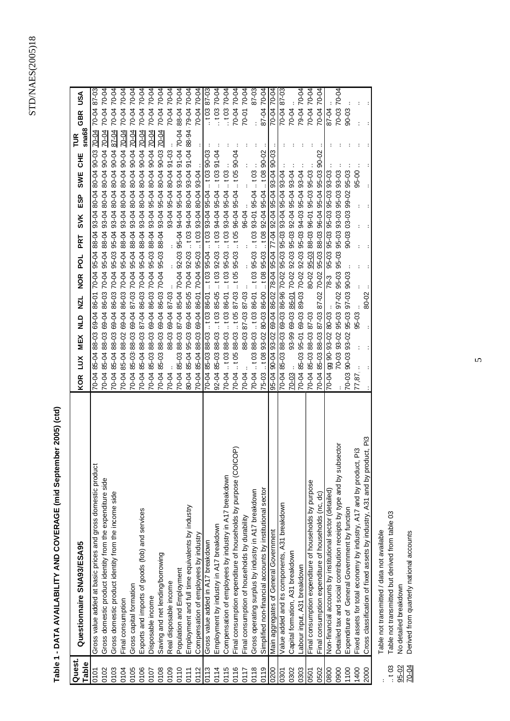# Table 1 - DATA AVAILABILITY AND COVERAGE (mid September 2005) (ctd) **Table 1 - DATA AVAILABILITY AND COVERAGE (mid September 2005) (ctd)**

| Quest.<br>Table | Questionnaire SNA93/ESA95                                                 | <b>GBR</b><br>$s$ na68<br>FUR<br>UН<br><b>SWE</b><br>ESP<br>SVK<br>PRT<br>NOR POL<br>KOR LUX MEX NLD NZL | USA   |
|-----------------|---------------------------------------------------------------------------|----------------------------------------------------------------------------------------------------------|-------|
| 0101            | Gross value added at basic prices and gross domestic product              | 70-04 87-03<br>4 85-07 85-04 88-03 69-04 86-04 88-04 88-04 80-05 10-08 80-04 80-05 70-04                 |       |
| 0102            | Gross domestic product identity from the expenditure side                 | 70-04 70-04<br>70-04<br>20-04 85-04 88-04 88-04 86-04 86-04 86-04 86-04 86-04 80-04 80-04 80-04 80-04    |       |
| 0103            | Gross domestic product identity from the income side                      | 70-04<br>90-04<br>93-04 80-04 80-04<br>95-04<br>86-03 70-04 95-03<br>69-04<br>85-04 88-03<br>70-04       | 70-04 |
| 0104            | Final consumption                                                         | 70-04<br>70-04<br>86-03 70-04 86-04 88-04 80-04 80-04 80-04<br>69-04<br>70-04 85-04 88-02                | 70-04 |
| 0105            | Gross capital formation                                                   | $0 - 04$<br>70-04<br>40-09 40-08 40-08 40-08 40-09 40-00 40-01 80-04<br>69-04<br>70-04 85-03 88-03       | 70-04 |
| 0106            | Exports and imports of goods (fob) and services                           | 70-04<br>87-04 86-03 70-04 88-04 88-04 80-04 80-04 80-04<br>70-04 85-04 88-03                            | 70-04 |
| 0107            | Disposable income                                                         | 70-04<br>70-04<br>93-04 95-04 80-04 90-04<br>69-04 86-03 70-04 95-03 88-04<br>70-04 85-03 88-03          | 70-04 |
| 0108            | Saving and net lending/borrowing                                          | 70-04 70-04<br>70-04<br>69-04 86-03 70-04 95-03 88-04 95-04 80-04 90-03<br>70-04 85-03 88-03             |       |
| 0109            | Real disposable income                                                    | 70-04 70-04<br>93-04 95-04 80-04 91-03<br>69-04 87-03<br>88-03<br>70-04                                  |       |
| 0110            | Population and Employment                                                 | 88-04 70-04<br>87-04 85-04 70-04 95-04 94-04 95-04 95-04 97-04 70-04<br>70-04 85-03 88-03                |       |
| 0111            | Employment and full time equivalents by industry                          | PO-04 7 0-88 40-05 40-05 40-08 40-05 50 40-06 40-06 40-02 50-98 40-08 60-98 40-08 40-08                  |       |
| 0112            | Compensation of employees by industry                                     | 0-04 70-04<br>5-04 85-04 86-04 86-04 86-07 70-06 86-08 86-08 86-08 97-07                                 |       |
| 0113            | Gross value added in A17 breakdown                                        | $10387 - 03$<br>70-04 85-03 88-03 86-03 86-01 103 95-04 103 95-04 95-04 103 90-03                        |       |
| 0114            | Employment by industry in A17 breakdown                                   | $10370-04$<br>÷<br>92-04 85-03 88-03 t03 85-05 t03 92-03 .t03 94-04 95-04 .t03 91-04                     |       |
| 0115            | Compensation of employees by industry in A17 breakdown                    | $10370-04$<br>70-04 .103 88-03 .103 86-01 .103 95-03 .103 93-04 95-04 .103 .103 .103                     |       |
| 0116            | ICOP)<br>Final consumption expenditure of households by purpose (CO       | 70-04 70-04<br>88-03 105 87-03 105 95-03 105 96-04 95-04 105 90-04<br>70-04  t 05                        |       |
| 0117            | Final consumption of households by durability                             | 70-01 70-04<br>96-04<br>88-03 87-03 87-03<br>70-04                                                       |       |
| 0118            | Gross operating surplus by industry in A17 breakdown                      | 70-04 1 03 88-03 1 03 86-01 1 03 95-03 1 03 93-01 95-04 1 03                                             | 87-03 |
| 0119            | Simplified non-financial accounts by institutional sector                 | 87-04 70-04<br>$75-03$ . t 08 93-02 80-03 86-03 . t 08 95-04 95-04 95-04 . t 08 90-02                    |       |
| 0200            | Main aggregates of General Government                                     | 70-04 70-04<br>95-04 90-04 93-02 69-04 86-04 95-04 95-04 95-04 95-04 96-04 96-04 96-04 96-03             |       |
| 0301            | Value added and its components, A31 breakdown                             | 70-04<br>70-04 85-03 88-03 69-03 86-96 70-02 95-03 95-03 93-04 95-04 93-04                               | 87-03 |
| 0302            | Capital formation, A31 breakdown                                          | 70-04<br>93-99 69-03 86-01 70-02 92-03 95-03 92-04 95-04 93-04<br>$70 - 03$ .                            |       |
| 0303            | Labour input, A31 breakdown                                               | 0-04 70-04<br>70-04 85-03 95-01 69-03 89-03 70-02 92-03 95-03 94-03 95-04 93-04                          |       |
| 0501            | Final consumption expenditure of households by purpose                    | 70-04 70-04<br>80-02 95-03 88-03 96-01 95-03 95-03<br>70-04 85-03 88-03 87-03                            |       |
| 0502            | Final consumption expenditure of households (nc, dc)                      | 70-04<br>0-04 85-03 88-03 87-03 87-02 70-02 95-03 88-03 96-04 95-04 95-03 90-02                          | 70-04 |
| 0800            | Non-financial accounts by institutional sector (detailed)                 | 87-04<br>95-03 95-03 95-03 95-03 93-03<br>$78-3$<br>70-04 990-93-02 80-03                                |       |
| 0900            | Detailed tax and social contribution receipts by type and by subsector    | 70-03 70-04<br>70-03 93-02 95-03 97-02 95-03 95-03 95-03 93-03 95-03 93-03                               |       |
| 1100            | Expenditure of General Government by function                             | 90-03<br>90-03 03-03 99-02 95-03<br>70-03 90-03 93-02 95-03 97-03 90-03                                  |       |
| 1400            | Fixed assets for total economy by industry, A17 and by product, Pi3       | 00-56<br>95-03<br>77.87.                                                                                 |       |
| 2000            | Cross classification of fixed assets by industry, A31 and by product, Pi3 | 80-02                                                                                                    |       |

.. Table not transmitted / data not available

Table not transmitted / data not available<br>Table not transmitted but derived from table 03<br>No detailed breakdown<br>Derived from quarterly national accounts .. t 03 Table not transmitted but derived from table 03  $103$ <br> $103$ <br> $95-02$ <br> $204$ 

95-02 No detailed breakdown

70-04 Derived from quarterly national accounts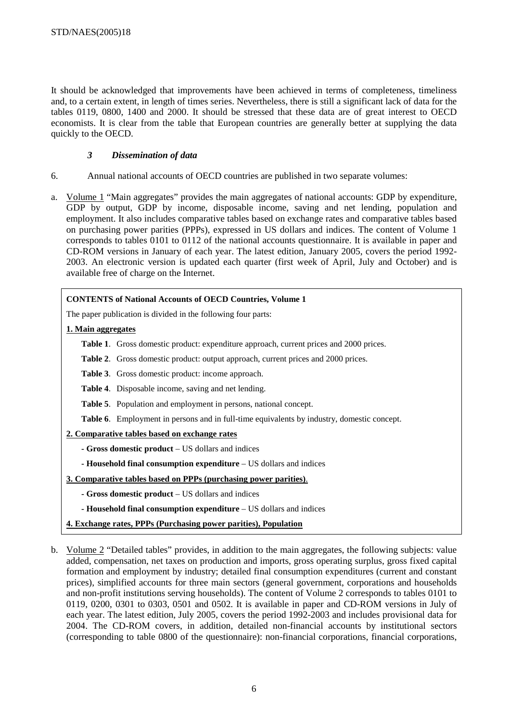It should be acknowledged that improvements have been achieved in terms of completeness, timeliness and, to a certain extent, in length of times series. Nevertheless, there is still a significant lack of data for the tables 0119, 0800, 1400 and 2000. It should be stressed that these data are of great interest to OECD economists. It is clear from the table that European countries are generally better at supplying the data quickly to the OECD.

# *3 Dissemination of data*

- 6. Annual national accounts of OECD countries are published in two separate volumes:
- a. Volume 1 "Main aggregates" provides the main aggregates of national accounts: GDP by expenditure, GDP by output, GDP by income, disposable income, saving and net lending, population and employment. It also includes comparative tables based on exchange rates and comparative tables based on purchasing power parities (PPPs), expressed in US dollars and indices. The content of Volume 1 corresponds to tables 0101 to 0112 of the national accounts questionnaire. It is available in paper and CD-ROM versions in January of each year. The latest edition, January 2005, covers the period 1992- 2003. An electronic version is updated each quarter (first week of April, July and October) and is available free of charge on the Internet.

# **CONTENTS of National Accounts of OECD Countries, Volume 1**  The paper publication is divided in the following four parts: **1. Main aggregates Table 1**. Gross domestic product: expenditure approach, current prices and 2000 prices. **Table 2**. Gross domestic product: output approach, current prices and 2000 prices. **Table 3**. Gross domestic product: income approach. **Table 4**. Disposable income, saving and net lending.  **Table 5**. Population and employment in persons, national concept. **Table 6**. Employment in persons and in full-time equivalents by industry, domestic concept. **2. Comparative tables based on exchange rates - Gross domestic product** – US dollars and indices **- Household final consumption expenditure** – US dollars and indices **3. Comparative tables based on PPPs (purchasing power parities)**. **- Gross domestic product** – US dollars and indices **- Household final consumption expenditure** – US dollars and indices

- **4. Exchange rates, PPPs (Purchasing power parities), Population**
- b. Volume 2 "Detailed tables" provides, in addition to the main aggregates, the following subjects: value added, compensation, net taxes on production and imports, gross operating surplus, gross fixed capital formation and employment by industry; detailed final consumption expenditures (current and constant prices), simplified accounts for three main sectors (general government, corporations and households and non-profit institutions serving households). The content of Volume 2 corresponds to tables 0101 to 0119, 0200, 0301 to 0303, 0501 and 0502. It is available in paper and CD-ROM versions in July of each year. The latest edition, July 2005, covers the period 1992-2003 and includes provisional data for 2004. The CD-ROM covers, in addition, detailed non-financial accounts by institutional sectors (corresponding to table 0800 of the questionnaire): non-financial corporations, financial corporations,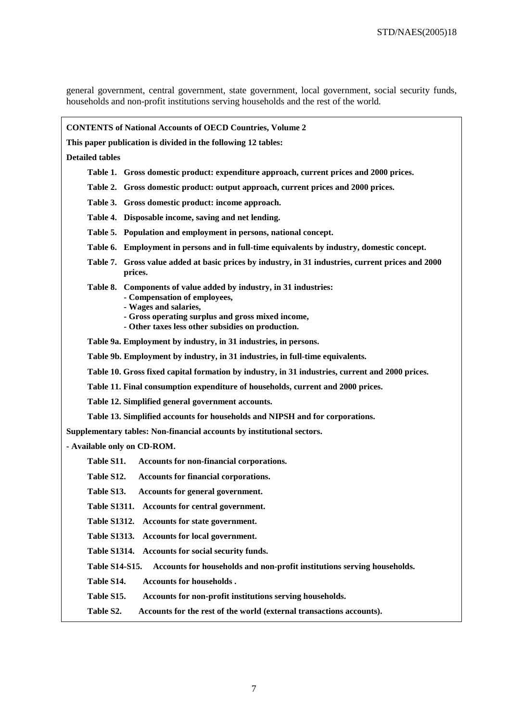general government, central government, state government, local government, social security funds, households and non-profit institutions serving households and the rest of the world.

| <b>CONTENTS of National Accounts of OECD Countries, Volume 2</b>                                                                                                                                                                     |  |  |  |  |  |  |  |  |  |  |
|--------------------------------------------------------------------------------------------------------------------------------------------------------------------------------------------------------------------------------------|--|--|--|--|--|--|--|--|--|--|
| This paper publication is divided in the following 12 tables:                                                                                                                                                                        |  |  |  |  |  |  |  |  |  |  |
| <b>Detailed tables</b>                                                                                                                                                                                                               |  |  |  |  |  |  |  |  |  |  |
| Table 1. Gross domestic product: expenditure approach, current prices and 2000 prices.                                                                                                                                               |  |  |  |  |  |  |  |  |  |  |
| Table 2. Gross domestic product: output approach, current prices and 2000 prices.                                                                                                                                                    |  |  |  |  |  |  |  |  |  |  |
| Table 3. Gross domestic product: income approach.                                                                                                                                                                                    |  |  |  |  |  |  |  |  |  |  |
| Table 4. Disposable income, saving and net lending.                                                                                                                                                                                  |  |  |  |  |  |  |  |  |  |  |
| Table 5. Population and employment in persons, national concept.                                                                                                                                                                     |  |  |  |  |  |  |  |  |  |  |
| Table 6. Employment in persons and in full-time equivalents by industry, domestic concept.                                                                                                                                           |  |  |  |  |  |  |  |  |  |  |
| Table 7. Gross value added at basic prices by industry, in 31 industries, current prices and 2000<br>prices.                                                                                                                         |  |  |  |  |  |  |  |  |  |  |
| Table 8. Components of value added by industry, in 31 industries:<br>- Compensation of employees,<br>- Wages and salaries,<br>- Gross operating surplus and gross mixed income,<br>- Other taxes less other subsidies on production. |  |  |  |  |  |  |  |  |  |  |
| Table 9a. Employment by industry, in 31 industries, in persons.                                                                                                                                                                      |  |  |  |  |  |  |  |  |  |  |
| Table 9b. Employment by industry, in 31 industries, in full-time equivalents.                                                                                                                                                        |  |  |  |  |  |  |  |  |  |  |
| Table 10. Gross fixed capital formation by industry, in 31 industries, current and 2000 prices.                                                                                                                                      |  |  |  |  |  |  |  |  |  |  |
| Table 11. Final consumption expenditure of households, current and 2000 prices.                                                                                                                                                      |  |  |  |  |  |  |  |  |  |  |
| Table 12. Simplified general government accounts.                                                                                                                                                                                    |  |  |  |  |  |  |  |  |  |  |
| Table 13. Simplified accounts for households and NIPSH and for corporations.                                                                                                                                                         |  |  |  |  |  |  |  |  |  |  |
| Supplementary tables: Non-financial accounts by institutional sectors.                                                                                                                                                               |  |  |  |  |  |  |  |  |  |  |
| - Available only on CD-ROM.                                                                                                                                                                                                          |  |  |  |  |  |  |  |  |  |  |
| Table S11.<br>Accounts for non-financial corporations.                                                                                                                                                                               |  |  |  |  |  |  |  |  |  |  |
| Table S12.<br>Accounts for financial corporations.                                                                                                                                                                                   |  |  |  |  |  |  |  |  |  |  |
| Table S13.<br>Accounts for general government.                                                                                                                                                                                       |  |  |  |  |  |  |  |  |  |  |
| Table S1311. Accounts for central government.                                                                                                                                                                                        |  |  |  |  |  |  |  |  |  |  |
| Table S1312. Accounts for state government.                                                                                                                                                                                          |  |  |  |  |  |  |  |  |  |  |
| Accounts for local government.<br><b>Table S1313.</b>                                                                                                                                                                                |  |  |  |  |  |  |  |  |  |  |
| Table S1314. Accounts for social security funds.                                                                                                                                                                                     |  |  |  |  |  |  |  |  |  |  |
| <b>Table S14-S15.</b><br>Accounts for households and non-profit institutions serving households.                                                                                                                                     |  |  |  |  |  |  |  |  |  |  |
| Table S14.<br><b>Accounts for households.</b>                                                                                                                                                                                        |  |  |  |  |  |  |  |  |  |  |
| Table S15.<br>Accounts for non-profit institutions serving households.                                                                                                                                                               |  |  |  |  |  |  |  |  |  |  |
| Table S2.<br>Accounts for the rest of the world (external transactions accounts).                                                                                                                                                    |  |  |  |  |  |  |  |  |  |  |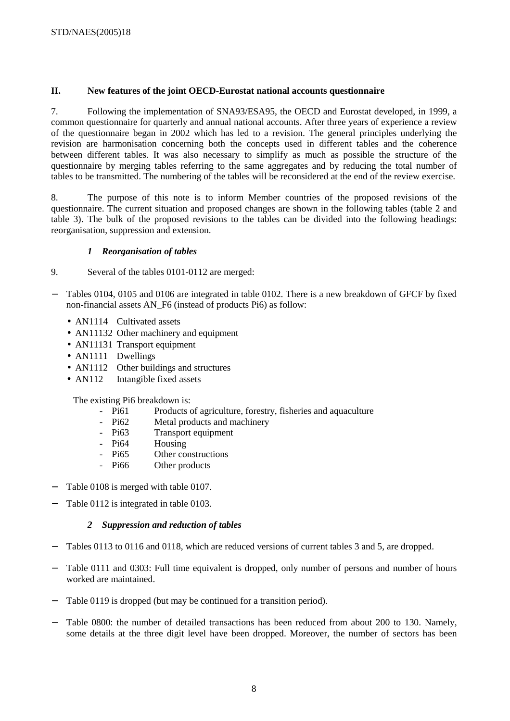# **II. New features of the joint OECD-Eurostat national accounts questionnaire**

7. Following the implementation of SNA93/ESA95, the OECD and Eurostat developed, in 1999, a common questionnaire for quarterly and annual national accounts. After three years of experience a review of the questionnaire began in 2002 which has led to a revision. The general principles underlying the revision are harmonisation concerning both the concepts used in different tables and the coherence between different tables. It was also necessary to simplify as much as possible the structure of the questionnaire by merging tables referring to the same aggregates and by reducing the total number of tables to be transmitted. The numbering of the tables will be reconsidered at the end of the review exercise.

8. The purpose of this note is to inform Member countries of the proposed revisions of the questionnaire. The current situation and proposed changes are shown in the following tables (table 2 and table 3). The bulk of the proposed revisions to the tables can be divided into the following headings: reorganisation, suppression and extension.

# *1 Reorganisation of tables*

- 9. Several of the tables 0101-0112 are merged:
- − Tables 0104, 0105 and 0106 are integrated in table 0102. There is a new breakdown of GFCF by fixed non-financial assets AN\_F6 (instead of products Pi6) as follow:
	- AN1114 Cultivated assets
	- AN11132 Other machinery and equipment
	- AN11131 Transport equipment
	- AN1111 Dwellings
	- AN1112 Other buildings and structures
	- AN112 Intangible fixed assets

The existing Pi6 breakdown is:

- Pi61 Products of agriculture, forestry, fisheries and aquaculture
- Pi<sub>62</sub> Metal products and machinery
- Pi63 Transport equipment
- Pi<sub>64</sub> Housing
- Pi65 Other constructions
- Pi66 Other products
- − Table 0108 is merged with table 0107.
- Table 0112 is integrated in table 0103.

# *2 Suppression and reduction of tables*

- Tables 0113 to 0116 and 0118, which are reduced versions of current tables 3 and 5, are dropped.
- − Table 0111 and 0303: Full time equivalent is dropped, only number of persons and number of hours worked are maintained.
- − Table 0119 is dropped (but may be continued for a transition period).
- Table 0800: the number of detailed transactions has been reduced from about 200 to 130. Namely, some details at the three digit level have been dropped. Moreover, the number of sectors has been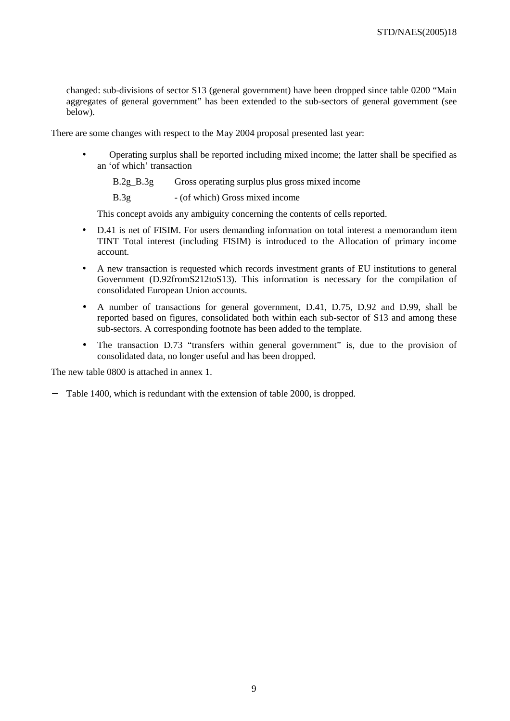changed: sub-divisions of sector S13 (general government) have been dropped since table 0200 "Main aggregates of general government" has been extended to the sub-sectors of general government (see below).

There are some changes with respect to the May 2004 proposal presented last year:

• Operating surplus shall be reported including mixed income; the latter shall be specified as an 'of which' transaction

B.2g\_B.3g Gross operating surplus plus gross mixed income

B.3g - (of which) Gross mixed income

This concept avoids any ambiguity concerning the contents of cells reported.

- D.41 is net of FISIM. For users demanding information on total interest a memorandum item TINT Total interest (including FISIM) is introduced to the Allocation of primary income account.
- A new transaction is requested which records investment grants of EU institutions to general Government (D.92fromS212toS13). This information is necessary for the compilation of consolidated European Union accounts.
- A number of transactions for general government, D.41, D.75, D.92 and D.99, shall be reported based on figures, consolidated both within each sub-sector of S13 and among these sub-sectors. A corresponding footnote has been added to the template.
- The transaction D.73 "transfers within general government" is, due to the provision of consolidated data, no longer useful and has been dropped.

The new table 0800 is attached in annex 1.

Table 1400, which is redundant with the extension of table 2000, is dropped.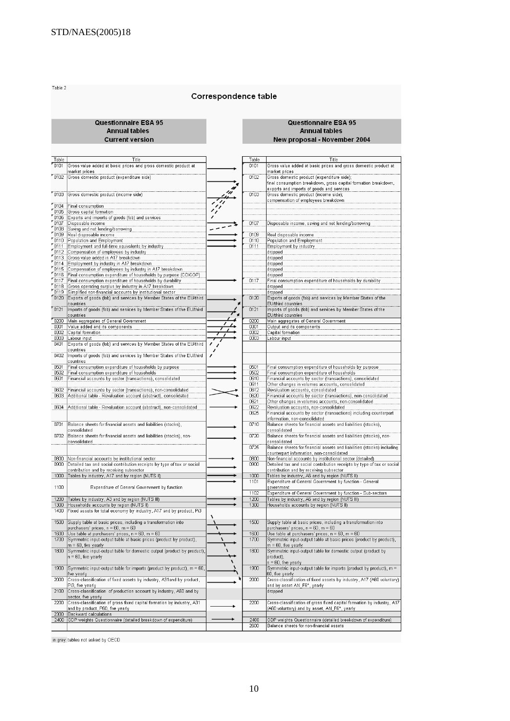Table 2

## Correspondence table

#### Questionnaire ESA 95 **Annual tables Current version**

#### Questionnaire ESA 95 **Annual tables New proposal - November 2004**

 $\frac{Table}{0101}$ Title Table Title ross value added at basic prices and gross domestic product at  $\frac{1}{0101}$ Gross value added at basic prices and gross domestic product at market prices narket prices "nim Gross domestic product (expenditure side) waniscus dinestic product (expenditure side);<br>Gross domestic product (expenditure side);<br>final consumption breakdown, gross capital formation breakdown, mm exports and imports of goods and services<br>Gross domestic product (income side);  $r_{0103}$ 0103 compensation of employees breakdown  $\begin{array}{r} 0104 \\ 0106 \\ 0106 \\ 0100 \\ 0100 \\ 0111 \\ 0111 \\ 0112 \\ 0113 \\ 0114 \\ 0113 \\ \end{array}$ Final consumption<br>Gross capital formation Exports and imports of goods (fob) and services<br>Disposable income 0107 Disposable income, saving and net lending/borrowing  $\overline{\phantom{0}}$ Saving and net lending/borrowing Real disposable income<br>Population and Employment .<br>Real disposable income<br>Population and Employment ning  $0110$ Employment and full-time equivalents by industry<br>Compensation of employees by industry<br>Gross value added in A17 breakdown  $-0111$ Employment by industry ...........<br>!ropped dropped Cross value added in A17 breakdown<br>
Employment by industry in A17 breakdown<br>
Compensation of employees by industry in A17 breakdown<br>
Compensation of employees by industry in A17 breakdown<br>
Final consumption expenditure of tropped  $\frac{6115}{0116}$ dropped dropped<br>Final consumption expenditure of households by durability  $0117$  $\frac{1116}{6118}$ dropped dropped<br>Exports of goods (fob) and services by Member States of the  $70120$  $\frac{1}{0120}$ countries EU/third countrie ports of goods (fob) and services by Member States of the  $r$ <sub>0121</sub> Imports of goods (fob) and services by Member States of the EU/third  $\overline{0121}$ EU/third countries countries EU/third countries<br>Main aggregates of General Government<br>Output and its components<br>Capital formation  $\begin{array}{r}\n 0200 \\
 \hline\n 0301 \\
 \hline\n 0302\n \end{array}$ Main aggregates of General Government<br>Value added and its components<br>Capital formation  $\overline{nn}$ Labour input<br>Exports of goods (fob) and services by Member States of the EU/third abour input 0303 0303  $-0401$ countries mano<br>Titolo Imports of goods (fob) and services by Member States of the EU/third countries  $-0501$ .<br>Final consumption expenditure of households by purpose.<br>Final consumption expenditure of households .<br>Final consumption expenditure of households by purpose<br>Final consumption expenditure of households  $n501$ Financial accounts by sector (transactions), consolidated<br>Other changes in volumes accounts, consolidated 0601 Financial accounts by sector (transactions), consolidated 0610  $\frac{0611}{0611}$  $-0602$ Financial accounts by sector (transactions), non-consolidated Revaluation accounts, consolidated .<br>Financial accounts by sector (transactions), non-consolidated<br>Other changes in volumes accounts, non-consolidated  $\frac{0620}{0621}$ 0603 Additional table - Revaluation account (abstract), consolidated 0604 Additional table - Revaluation account (abstract), non-consolidated Environmental counts and consolidated<br>Financial accounts by sector (transactions) including counterpart<br>information, non-consolidated 0622 ........<br>0625  $\overline{0710}$  $\overline{0701}$ Balance sheets for financial assets and liabilities (stocks), Balance sheets for financial assets and liabilities (stocks), .unance snee<br>:onsolidated consolidated  $\overline{0720}$ 0702 Balance sheets for financial assets and liabilities (stocks), nonconsolidated<br>Balance sheets for financial assets and liabilities (stocks) including consolidated .......<br>0725 counterpart information, non-consolidated<br>Non-financial accounts by institutional sector (detailed)<br>Detailed tax and social contribution receipts by type of tax or social  $\frac{0800}{0900}$ Non-financial accounts by institutional sector<br>Detailed tax and social contribution receipts by type of tax or social  $\frac{0800}{0900}$ Contribution and by receiving subsector<br>Tables by industry, A6 and by region (NUTS II)<br>Expenditure of General Government by function - General contribution and by receiving subsector<br>Tables by industry, A17 and by region (NUTS II)  $1000$  $\frac{1000}{1101}$ 1100 Expenditure of General Government by function overnment Expenditure of General Government by function - Sub-sectors  $110.$ 1200 Tables by industry, A3 and by region (NUTS III)<br>1300 Households accounts by region (NUTS II)<br>1400 Fixed assets for total economy by industry, A17 1200<br>1300 Tables by industry, A6 and by region (NUTS III)<br>Households accounts by region (NUTS II) Fixed assets for total economy by industry, A17 and by product, Pi3  $1500$ Supply table at basic prices, including a transformation into 1500 Supply table at basic prices, including a transformation into purphy rate at users prices, metallity a manusulmation line<br>purchasers' prices, n = 60, m = 60<br>Use table at purchasers' prices, n = 60, m = 60<br>Symmetric input-output table at basic prices (product by product), suppry same a state pinces, including a maniformation line<br>purchasers' prices, n = 60, m = 60<br>Use table at purchasers' prices, n = 60, m = 60<br>Symmetric input-output table at basic prices (product by product),  $\frac{1600}{1700}$ 1600<br>1700  $= 60$  five yearly  $= 60$ , five yearly 1800 Symmetric input-output table for domestic output (product by product)  $1800$ Symmetric input-output table for domestic output (product by product),<br>n = 60, five yearly  $n = 60$ , five yearly  $1900$ Symmetric input-output table for imports (product by product), m = 60 1900 Symmetric input-output table for imports (product by product), m = five yearly<br>Cross-classification of fixed assets by industry, A31 and by product,<br>Cross-classification of fixed assets by industry, A31 and by product, .<br>Cross-classification of fixed assets by industry, A17 (A60 voluntary).<br>Cross-classification of fixed assets by industry, A17 (A60 voluntary).  $\overline{2000}$ 2000 Pi3, five yearly<br>Cross-classification of production account by industry, A60 and by<br>Cross-classification of production account by industry, A60 and by and by asset AN\_F6\*, yearly  $\overline{2100}$ dropped sector, five yearly Source, no young<br>Cross-classification of gross fixed capital formation by industry, A31<br>and by product, P60, five yearly  $\overline{2200}$  $\frac{1}{2200}$ Cross-classification of gross fixed capital formation by industry, A17<br>(A60 voluntary) and by asset, AN\_F6\*, yearly 2300 rd calculations Backy GDP weights Questionnaire (detailed breakdown of expenditure)  $\frac{2400}{2600}$ 2400 GDP weights Questionnaire (detailed breakdown of expenditure) Balance sheets for non-financial assets

in grey tables not asked by OECD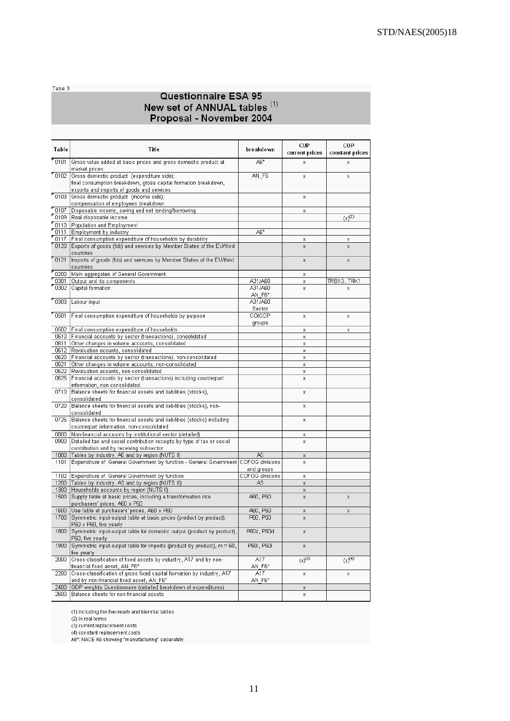Table 3

# Questionnaire ESA 95 New set of ANNUAL tables (1)<br>Proposal - November 2004

| Table          | Title                                                                                                                                     | breakdown          | CUP            | COP             |
|----------------|-------------------------------------------------------------------------------------------------------------------------------------------|--------------------|----------------|-----------------|
|                |                                                                                                                                           |                    | current prices | constant prices |
| "0101"         | Gross value added at basic prices and gross domestic product at<br>market prices                                                          | A6*                | Х              | Х               |
| "0102"         | Gross domestic product (expenditure side);<br>final consumption breakdown, gross capital formation breakdown,                             | AN_F6              | x              | x               |
| "0103"         | exports and imports of goods and services.<br>Gross domestic product (income side);                                                       |                    | χ              |                 |
|                | compensation of employees breakdown                                                                                                       |                    |                |                 |
| " 0107         | Disposable income, saving and net lending/borrowing                                                                                       |                    | χ              |                 |
| "0109"         | Real disposable income                                                                                                                    |                    |                | $(x)^{(2)}$     |
| "0110"<br>0111 | Population and Employment<br>Employment by industry                                                                                       | A6*                |                |                 |
| "0117"         | Final consumption expenditure of households by durability                                                                                 |                    | Χ              | x               |
| 0120           | Exports of goods (fob) and services by Member States of the EU/third<br>countries                                                         |                    | x              | X               |
| 0121           | Imports of goods (fob) and services by Member States of the EU/third<br>countries                                                         |                    | X              | x               |
| "0200"         | Main aggregates of General Government                                                                                                     |                    | Х              |                 |
| 0301<br>" 0302 | Output and its components                                                                                                                 | A31/A60<br>A31/A60 | х              | TRB1G, TRK1     |
|                | Capital formation                                                                                                                         | AN F6*             | x              | х               |
| "0303"         | Labour input                                                                                                                              | A31/A60            |                |                 |
|                |                                                                                                                                           | Sector             |                |                 |
| " 0501         | Final consumption expenditure of households by purpose                                                                                    | COICOP<br>groups   | χ              | Χ               |
| 0502           | Final consumption expenditure of households                                                                                               |                    | x              | x               |
|                | O610 Financial accounts by sector (transactions), consolidated                                                                            |                    | x              |                 |
| 0611           | Other changes in volume accounts, consolidated                                                                                            |                    | x              |                 |
| 0620           | 0612 Revaluation acounts, consolidated<br>Financial accounts by sector (transactions), non-consolidated                                   |                    | x              |                 |
| 0621           | Other changes in volume accounts, non-consolidated                                                                                        |                    | X<br>χ         |                 |
| 0622           | Revaluation acounts, non-consolidated                                                                                                     |                    | x              |                 |
| 0625           | Financial accounts by sector (transactions) including counterpart<br>information, non-consolidated                                        |                    | Х              |                 |
| 0710           | Balance sheets for financial assets and liabilities (stocks),<br>consolidated                                                             |                    | х              |                 |
| 0720           | Balance sheets for financial assets and liabilities (stocks), non-<br>consolidated                                                        |                    | X              |                 |
| 0725           | Balance sheets for financial assets and liabilities (stocks) including<br>counterpart information, non-consolidated                       |                    | Х              |                 |
| 0800           | Non-financial accounts by institutional sector (detailed)                                                                                 |                    | Х              |                 |
| 0900           | Detailed tax and social contribution receipts by type of tax or social<br>contribution and by receiving subsector                         |                    | X              |                 |
| 1000           | Tables by industry, A6 and by region (NUTS II)                                                                                            | A6                 | Χ              |                 |
| 1101           | Expenditure of General Government by function - General Government COFOG divisions                                                        | and groups         | X              |                 |
| 1102           | Expenditure of General Government by function                                                                                             | COFOG divisions    | Х              |                 |
| 1200           | Tables by industry, A3 and by region (NUTS III)                                                                                           | A3                 | χ              |                 |
| 1300<br>1500   | Households accounts by region (NUTS II)<br>Supply table at basic prices, including a transformation into<br>purchasers' prices, A60 x P60 | A60, P60           | Х<br>X         | $\mathsf{X}$    |
| 1600           | Use table at purchasers' prices, A60 x P60                                                                                                | A60, P60           | х              | x               |
|                | 1700 Symmetric input-output table at basic prices (product by product),<br>P60 x P60, five yearly                                         | P60, P60           | χ              |                 |
| 1800           | Symmetric input-output table for domestic output (product by product),<br>P60, five yearly                                                | P60d, P60d         | χ              |                 |
| 1900           | Symmetric input-output table for imports (product by product), m = 60,<br>five yearly                                                     | P60i, P60i         | χ              |                 |
| 2000           | Cross-classification of fixed assets by industry, A17 and by non-<br>financial fixed asset, AN F6*                                        | A17<br>AN F6*      | $(x)^{(3)}$    | $(x)^{(4)}$     |
| 2200           | Cross-classification of gross fixed capital formation by industry, A17<br>and by non-financial fixed asset, AN F6*                        | A17<br>AN F6*      | Х              | x               |
| 2400           | GDP weights Questionnaire (detailed breakdown of expenditures)                                                                            |                    | х              |                 |
| 2600           | Balance sheets for non-financial assets                                                                                                   |                    | x              |                 |

(1) including the five-yearly and biennial tables

(2) in real terms

(2) in teal terms<br>(3) current replacement costs<br>(4) constant replacement costs<br>A6\*: NACE A6 showing "manufacturing" separately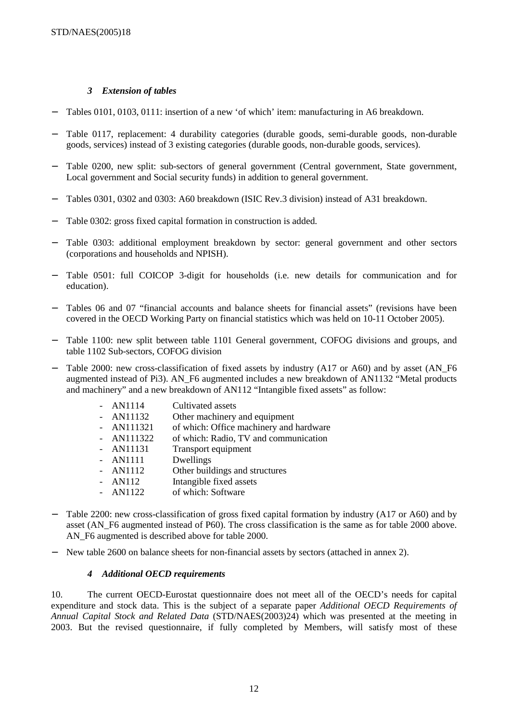# *3 Extension of tables*

- − Tables 0101, 0103, 0111: insertion of a new 'of which' item: manufacturing in A6 breakdown.
- Table 0117, replacement: 4 durability categories (durable goods, semi-durable goods, non-durable goods, services) instead of 3 existing categories (durable goods, non-durable goods, services).
- − Table 0200, new split: sub-sectors of general government (Central government, State government, Local government and Social security funds) in addition to general government.
- − Tables 0301, 0302 and 0303: A60 breakdown (ISIC Rev.3 division) instead of A31 breakdown.
- Table 0302: gross fixed capital formation in construction is added.
- Table 0303: additional employment breakdown by sector: general government and other sectors (corporations and households and NPISH).
- − Table 0501: full COICOP 3-digit for households (i.e. new details for communication and for education).
- Tables 06 and 07 "financial accounts and balance sheets for financial assets" (revisions have been covered in the OECD Working Party on financial statistics which was held on 10-11 October 2005).
- − Table 1100: new split between table 1101 General government, COFOG divisions and groups, and table 1102 Sub-sectors, COFOG division
- − Table 2000: new cross-classification of fixed assets by industry (A17 or A60) and by asset (AN\_F6 augmented instead of Pi3). AN\_F6 augmented includes a new breakdown of AN1132 "Metal products and machinery" and a new breakdown of AN112 "Intangible fixed assets" as follow:

| $- AN1114$   | Cultivated assets                       |
|--------------|-----------------------------------------|
| $- AN11132$  | Other machinery and equipment           |
| $- AN111321$ | of which: Office machinery and hardware |
| $- AN111322$ | of which: Radio, TV and communication   |
| - AN11131    | Transport equipment                     |
| - AN1111     | Dwellings                               |
| $- AN1112$   | Other buildings and structures          |
| $- AN112$    | Intangible fixed assets                 |
| $- AN1122$   | of which: Software                      |

- − Table 2200: new cross-classification of gross fixed capital formation by industry (A17 or A60) and by asset (AN\_F6 augmented instead of P60). The cross classification is the same as for table 2000 above. AN\_F6 augmented is described above for table 2000.
- New table 2600 on balance sheets for non-financial assets by sectors (attached in annex 2).

# *4 Additional OECD requirements*

10. The current OECD-Eurostat questionnaire does not meet all of the OECD's needs for capital expenditure and stock data. This is the subject of a separate paper *Additional OECD Requirements of Annual Capital Stock and Related Data* (STD/NAES(2003)24) which was presented at the meeting in 2003. But the revised questionnaire, if fully completed by Members, will satisfy most of these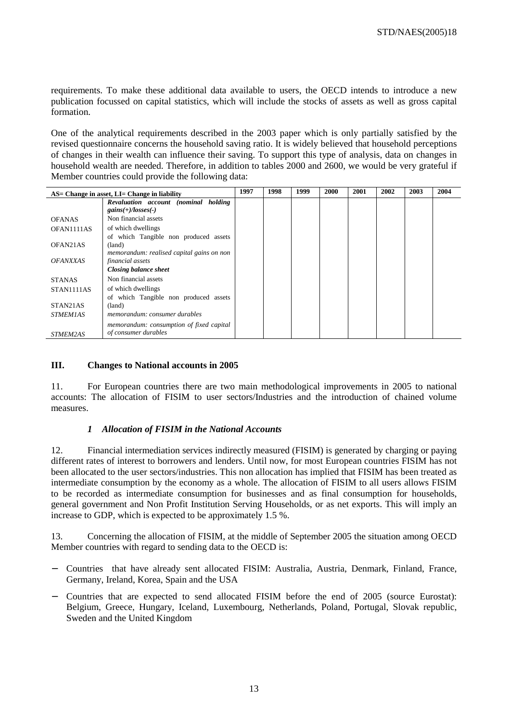requirements. To make these additional data available to users, the OECD intends to introduce a new publication focussed on capital statistics, which will include the stocks of assets as well as gross capital formation.

One of the analytical requirements described in the 2003 paper which is only partially satisfied by the revised questionnaire concerns the household saving ratio. It is widely believed that household perceptions of changes in their wealth can influence their saving. To support this type of analysis, data on changes in household wealth are needed. Therefore, in addition to tables 2000 and 2600, we would be very grateful if Member countries could provide the following data:

| AS= Change in asset, LI= Change in liability |                                           | 1997 | 1998 | 1999 | <b>2000</b> | 2001 | 2002 | 2003 | 2004 |
|----------------------------------------------|-------------------------------------------|------|------|------|-------------|------|------|------|------|
|                                              | Revaluation account (nominal holding      |      |      |      |             |      |      |      |      |
|                                              | $gains(+)/losses(-)$                      |      |      |      |             |      |      |      |      |
| <b>OFANAS</b>                                | Non financial assets                      |      |      |      |             |      |      |      |      |
| OFAN1111AS                                   | of which dwellings                        |      |      |      |             |      |      |      |      |
|                                              | of which Tangible non produced assets     |      |      |      |             |      |      |      |      |
| OFAN <sub>21</sub> A <sub>S</sub>            | (land)                                    |      |      |      |             |      |      |      |      |
|                                              | memorandum: realised capital gains on non |      |      |      |             |      |      |      |      |
| <i><b>OFANXXAS</b></i>                       | financial assets                          |      |      |      |             |      |      |      |      |
|                                              | <b>Closing balance sheet</b>              |      |      |      |             |      |      |      |      |
| <b>STANAS</b>                                | Non financial assets                      |      |      |      |             |      |      |      |      |
| STAN1111AS                                   | of which dwellings                        |      |      |      |             |      |      |      |      |
|                                              | of which Tangible non produced assets     |      |      |      |             |      |      |      |      |
| STAN21AS                                     | (land)                                    |      |      |      |             |      |      |      |      |
| <b>STMEM1AS</b>                              | memorandum: consumer durables             |      |      |      |             |      |      |      |      |
|                                              | memorandum: consumption of fixed capital  |      |      |      |             |      |      |      |      |
| STMEM2AS                                     | of consumer durables                      |      |      |      |             |      |      |      |      |

# **III. Changes to National accounts in 2005**

11. For European countries there are two main methodological improvements in 2005 to national accounts: The allocation of FISIM to user sectors/Industries and the introduction of chained volume measures.

# *1 Allocation of FISIM in the National Accounts*

12. Financial intermediation services indirectly measured (FISIM) is generated by charging or paying different rates of interest to borrowers and lenders. Until now, for most European countries FISIM has not been allocated to the user sectors/industries. This non allocation has implied that FISIM has been treated as intermediate consumption by the economy as a whole. The allocation of FISIM to all users allows FISIM to be recorded as intermediate consumption for businesses and as final consumption for households, general government and Non Profit Institution Serving Households, or as net exports. This will imply an increase to GDP, which is expected to be approximately 1.5 %.

13. Concerning the allocation of FISIM, at the middle of September 2005 the situation among OECD Member countries with regard to sending data to the OECD is:

- − Countries that have already sent allocated FISIM: Australia, Austria, Denmark, Finland, France, Germany, Ireland, Korea, Spain and the USA
- − Countries that are expected to send allocated FISIM before the end of 2005 (source Eurostat): Belgium, Greece, Hungary, Iceland, Luxembourg, Netherlands, Poland, Portugal, Slovak republic, Sweden and the United Kingdom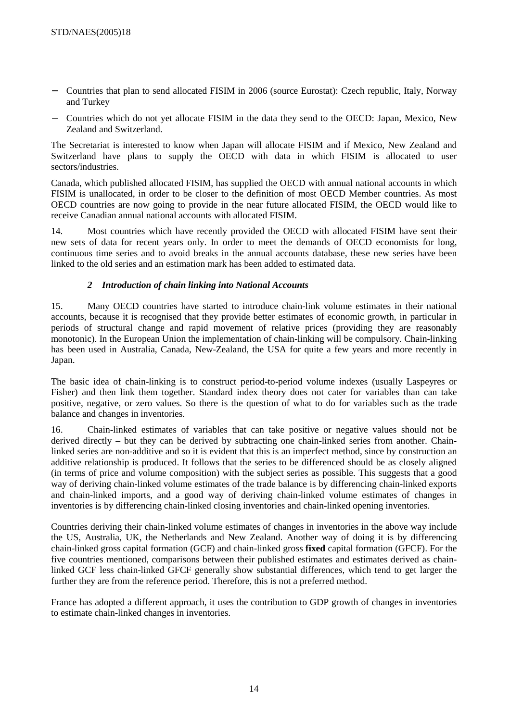- − Countries that plan to send allocated FISIM in 2006 (source Eurostat): Czech republic, Italy, Norway and Turkey
- − Countries which do not yet allocate FISIM in the data they send to the OECD: Japan, Mexico, New Zealand and Switzerland.

The Secretariat is interested to know when Japan will allocate FISIM and if Mexico, New Zealand and Switzerland have plans to supply the OECD with data in which FISIM is allocated to user sectors/industries.

Canada, which published allocated FISIM, has supplied the OECD with annual national accounts in which FISIM is unallocated, in order to be closer to the definition of most OECD Member countries. As most OECD countries are now going to provide in the near future allocated FISIM, the OECD would like to receive Canadian annual national accounts with allocated FISIM.

14. Most countries which have recently provided the OECD with allocated FISIM have sent their new sets of data for recent years only. In order to meet the demands of OECD economists for long, continuous time series and to avoid breaks in the annual accounts database, these new series have been linked to the old series and an estimation mark has been added to estimated data.

# *2 Introduction of chain linking into National Accounts*

15. Many OECD countries have started to introduce chain-link volume estimates in their national accounts, because it is recognised that they provide better estimates of economic growth, in particular in periods of structural change and rapid movement of relative prices (providing they are reasonably monotonic). In the European Union the implementation of chain-linking will be compulsory. Chain-linking has been used in Australia, Canada, New-Zealand, the USA for quite a few years and more recently in Japan.

The basic idea of chain-linking is to construct period-to-period volume indexes (usually Laspeyres or Fisher) and then link them together. Standard index theory does not cater for variables than can take positive, negative, or zero values. So there is the question of what to do for variables such as the trade balance and changes in inventories.

16. Chain-linked estimates of variables that can take positive or negative values should not be derived directly – but they can be derived by subtracting one chain-linked series from another. Chainlinked series are non-additive and so it is evident that this is an imperfect method, since by construction an additive relationship is produced. It follows that the series to be differenced should be as closely aligned (in terms of price and volume composition) with the subject series as possible. This suggests that a good way of deriving chain-linked volume estimates of the trade balance is by differencing chain-linked exports and chain-linked imports, and a good way of deriving chain-linked volume estimates of changes in inventories is by differencing chain-linked closing inventories and chain-linked opening inventories.

Countries deriving their chain-linked volume estimates of changes in inventories in the above way include the US, Australia, UK, the Netherlands and New Zealand. Another way of doing it is by differencing chain-linked gross capital formation (GCF) and chain-linked gross **fixed** capital formation (GFCF). For the five countries mentioned, comparisons between their published estimates and estimates derived as chainlinked GCF less chain-linked GFCF generally show substantial differences, which tend to get larger the further they are from the reference period. Therefore, this is not a preferred method.

France has adopted a different approach, it uses the contribution to GDP growth of changes in inventories to estimate chain-linked changes in inventories.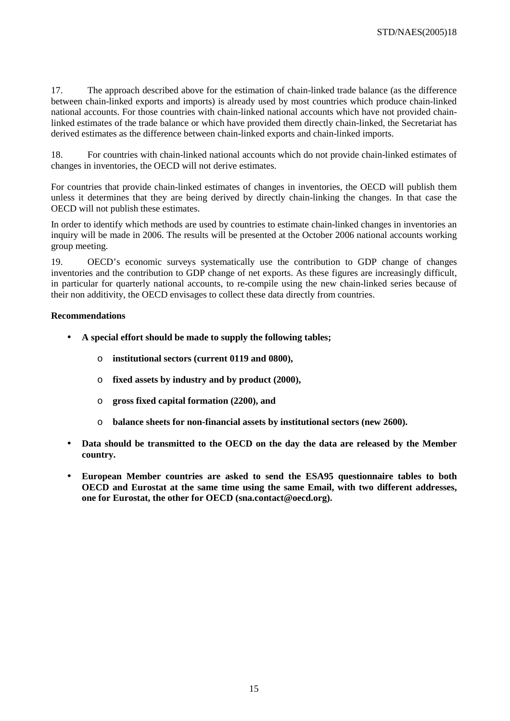17. The approach described above for the estimation of chain-linked trade balance (as the difference between chain-linked exports and imports) is already used by most countries which produce chain-linked national accounts. For those countries with chain-linked national accounts which have not provided chainlinked estimates of the trade balance or which have provided them directly chain-linked, the Secretariat has derived estimates as the difference between chain-linked exports and chain-linked imports.

18. For countries with chain-linked national accounts which do not provide chain-linked estimates of changes in inventories, the OECD will not derive estimates.

For countries that provide chain-linked estimates of changes in inventories, the OECD will publish them unless it determines that they are being derived by directly chain-linking the changes. In that case the OECD will not publish these estimates.

In order to identify which methods are used by countries to estimate chain-linked changes in inventories an inquiry will be made in 2006. The results will be presented at the October 2006 national accounts working group meeting.

19. OECD's economic surveys systematically use the contribution to GDP change of changes inventories and the contribution to GDP change of net exports. As these figures are increasingly difficult, in particular for quarterly national accounts, to re-compile using the new chain-linked series because of their non additivity, the OECD envisages to collect these data directly from countries.

# **Recommendations**

- **A special effort should be made to supply the following tables;** 
	- o **institutional sectors (current 0119 and 0800),**
	- o **fixed assets by industry and by product (2000),**
	- o **gross fixed capital formation (2200), and**
	- o **balance sheets for non-financial assets by institutional sectors (new 2600).**
- **Data should be transmitted to the OECD on the day the data are released by the Member country.**
- **European Member countries are asked to send the ESA95 questionnaire tables to both OECD and Eurostat at the same time using the same Email, with two different addresses, one for Eurostat, the other for OECD (sna.contact@oecd.org).**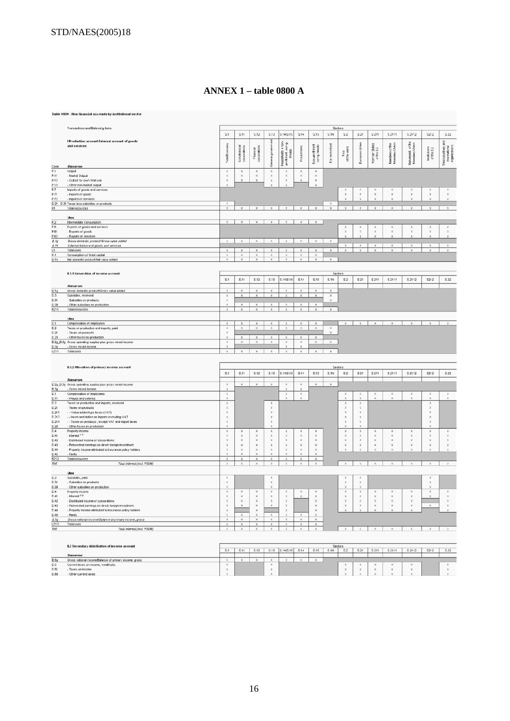# ANNEX  $1 -$ table 0800 A

|                      | Table 0800 - Non-financial accounts by institutional sector                                                         |                                                    |                                                    |                                          |                                                |                                                                 |                                          |                                           |                                    |                                          |                                           |                                           |                                                |                                    |                                          |                                                              |
|----------------------|---------------------------------------------------------------------------------------------------------------------|----------------------------------------------------|----------------------------------------------------|------------------------------------------|------------------------------------------------|-----------------------------------------------------------------|------------------------------------------|-------------------------------------------|------------------------------------|------------------------------------------|-------------------------------------------|-------------------------------------------|------------------------------------------------|------------------------------------|------------------------------------------|--------------------------------------------------------------|
|                      | Transactions and Balancing items                                                                                    |                                                    |                                                    |                                          |                                                |                                                                 |                                          |                                           | Sectors                            |                                          |                                           |                                           |                                                |                                    |                                          |                                                              |
|                      | I Production account/External account of goods                                                                      | S.1                                                | <b>S.11</b>                                        | <b>S.12</b>                              | S.13                                           | S.14/S.15                                                       | S.14                                     | <b>S.15</b>                               | S.1N                               | $\$2$                                    | S.21                                      | \$211                                     | S.2111                                         | S.2112                             | S212                                     | S.22                                                         |
|                      | and services                                                                                                        | ratal Economy                                      | Non-financial<br>corporations                      | Financial<br>corporations                | General gover                                  | $+ 000 +$<br>ę<br>g<br>Houzeholds +<br>proft institpe<br>hholds | Household                                | Non-profit instit.<br>servg. Modds        | Not sectorized                     | Rest<br>of the world                     | European Union                            | Member States<br>of the EU                | Members of the<br>Monebary Union               | Non-memb. of the<br>Monetary Union | Institutions<br>of the EU                | gus<br>Third courtries are<br>international<br>organisations |
| Code<br>P.1          | Resources<br>Output                                                                                                 | $\mathbb X$                                        | $\boldsymbol{\times}$                              | $\mathsf{x}$                             | $\mathbf x$                                    | $\times$                                                        | $\times$                                 | $\times$                                  |                                    |                                          |                                           |                                           |                                                |                                    |                                          |                                                              |
| P.11<br>P.12<br>P.13 | - Market Output<br>- Output for own final use<br>- Other non-market output                                          | ×<br>$\mathbbm{X}$<br>$\mathbf{x}$                 | $\boldsymbol{\chi}$<br>$\mathbf{x}$                | $\boldsymbol{\chi}$<br>$\mathbf{x}$      | $\boldsymbol{\times}$<br>$\boldsymbol{\times}$ | $\boldsymbol{\times}$<br>$\mathbf x$                            | $\boldsymbol{\times}$<br>x               | x<br>$\mathbbm{X}$<br>×                   |                                    |                                          |                                           |                                           |                                                |                                    |                                          |                                                              |
| P.7<br>P.71          | Imports of goods and services<br>- Inports of goods                                                                 |                                                    |                                                    |                                          |                                                |                                                                 |                                          |                                           |                                    | ×<br>$\mathbf x$                         | $\mathbf x$                               | $\mathbf{x}$                              | $\boldsymbol{\times}$                          | ×<br>$\mathbf{x}$                  | $\mathbf x$                              | ×<br>$\mathbf x$                                             |
| P.72                 | - Inports of services                                                                                               |                                                    |                                                    |                                          |                                                |                                                                 |                                          |                                           |                                    |                                          |                                           |                                           |                                                |                                    |                                          | $\mathbf{x}$                                                 |
| R1                   | D.21 - D.31 Taxes less subsidies on products<br>Total resources                                                     | $\boldsymbol{\times}$<br>$\mathbf x$               |                                                    | $\boldsymbol{\mathsf{x}}$                |                                                |                                                                 | $\mathbf x$                              | $\boldsymbol{\mathsf{x}}$                 | $\boldsymbol{\chi}$<br>$\mathbf x$ | $\mathbb X$                              | $\mathbf x$                               | x                                         | x                                              | $\mathbf{x}$                       | $\mathbf x$                              | $\mathbf x$                                                  |
|                      | <b><i><u>Ubes</u></i></b>                                                                                           |                                                    |                                                    |                                          |                                                |                                                                 |                                          |                                           |                                    |                                          |                                           |                                           |                                                |                                    |                                          |                                                              |
| P.2                  | Intermediate Consumption                                                                                            | x                                                  | $\boldsymbol{\mathsf{x}}$                          | $\mathbb X$                              | $\mathbb X$                                    | $\mathbf{x}$                                                    | $\mathbb X$                              | $\mathbf x$                               |                                    |                                          |                                           |                                           |                                                |                                    |                                          |                                                              |
| P.6<br>P.61          | Exports of goods and services<br>- Exports of goods                                                                 |                                                    |                                                    |                                          |                                                |                                                                 |                                          |                                           |                                    | $\mathbb X$<br>×                         | $\mathbb X$<br>$\boldsymbol{\chi}$        | $\mathbb X$<br>$\times$                   | ×<br>×                                         | $\mathbb X$<br>$\mathbf x$         | $\boldsymbol{\mathsf{X}}$<br>$\mathbf x$ | $\mathbf x$<br>$\boldsymbol{\times}$                         |
| P.62<br>B.1g         | - Exports of services<br>Gross domestic product/Gross value added                                                   | $\boldsymbol{\chi}$                                | $\boldsymbol{\times}$                              | $\boldsymbol{\times}$                    | $\chi$                                         | $\chi$                                                          | $\times$                                 | $\boldsymbol{\times}$                     | $\times$                           | x                                        | ×                                         |                                           | $\mathbf x$                                    | $\mathbf x$                        | $\times$                                 | $\boldsymbol{\times}$                                        |
| 6.11                 | External balance of goods and services                                                                              |                                                    |                                                    |                                          |                                                |                                                                 |                                          |                                           |                                    | x                                        | $\mathbf x$                               | x                                         | $\boldsymbol{\times}$                          | $\mathbf{x}$                       | $\boldsymbol{\times}$                    | $\mathbf{x}$                                                 |
| U1<br>K.1            | Total uses<br>Consumption of fixed capital                                                                          | $\mathbb X$<br>$\boldsymbol{\chi}$                 | $\mathbf x$<br>$\boldsymbol{\times}$               | $\mathbb X$<br>$\times$                  | $\mathbf x$<br>x                               | $\mathbb X$<br>$\times$                                         | $\mathbb X$<br>×                         | $\mathbbm{X}$<br>×                        | $\mathbbm{X}$                      | $\mathbf x$                              | x                                         | $\mathbf{x}$                              | $\mathbf{x}$                                   |                                    | $\mathbf{x}$                             | $\mathbf{x}$                                                 |
| B.1n                 | Net domestic product/Net value added                                                                                | $\boldsymbol{\mathsf{x}}$                          | x                                                  | $\mathbb X$                              | $\boldsymbol{\mathsf{X}}$                      | $\mathbb X$                                                     | $\mathbb X$                              | $\boldsymbol{\mathsf{X}}$                 | $\mathbb X$                        |                                          |                                           |                                           |                                                |                                    |                                          |                                                              |
|                      |                                                                                                                     |                                                    |                                                    |                                          |                                                |                                                                 |                                          |                                           |                                    |                                          |                                           |                                           |                                                |                                    |                                          |                                                              |
|                      | IL1.1 Generation of income account                                                                                  |                                                    |                                                    |                                          |                                                |                                                                 |                                          |                                           | Sectors                            |                                          |                                           |                                           |                                                |                                    |                                          |                                                              |
|                      | Resources                                                                                                           | S.1                                                | S.11                                               | S.12                                     | S.13                                           | S.14/S.15                                                       | S.14                                     | S.15                                      | S.1N                               | \$2                                      | \$21                                      | S.211                                     | S.2111                                         | S.2112                             | S212                                     | S.22                                                         |
| 9.1g                 | Gross domestic product/Gross value added                                                                            | $\mathbf{x}$                                       | $\mathbf x$                                        | $\boldsymbol{\mathsf{x}}$                | $\mathbf{x}$                                   | $\mathbf x$                                                     | $\mathbf{x}$                             | x                                         | $\mathbf x$                        |                                          |                                           |                                           |                                                |                                    |                                          |                                                              |
| D.3<br>D.31          | Subsides, received<br>- Subsidies on products                                                                       | $\boldsymbol{\mathsf{x}}$<br>$\boldsymbol{\times}$ | $\mathbb X$                                        | $\mathbbm{X}$                            | $\mathbbm{X}$                                  | $\mathbb X$                                                     | $\mathbb X$                              | $\mathbb X$                               | $\mathbf x$<br>×                   |                                          |                                           |                                           |                                                |                                    |                                          |                                                              |
| D.39                 | - Other subsidies on production                                                                                     | $\boldsymbol{\mathsf{x}}$                          | $\boldsymbol{\mathsf{x}}$                          | $\boldsymbol{\mathsf{x}}$                | $\boldsymbol{\mathsf{x}}$                      | $\boldsymbol{\mathsf{x}}$                                       | $\mathbf{x}$                             | $\mathbf{x}$                              |                                    |                                          |                                           |                                           |                                                |                                    |                                          |                                                              |
| R211                 | Total resources                                                                                                     | $\mathbb X$                                        | $\mathbb X$                                        | $\mathbb X$                              | $\mathbb X$                                    | $\mathbf x$                                                     | $\mathbb X$                              | $\mathbb X$                               | $\mathbbm{X}$                      |                                          |                                           |                                           |                                                |                                    |                                          |                                                              |
|                      | Libes                                                                                                               |                                                    |                                                    |                                          |                                                |                                                                 |                                          |                                           |                                    |                                          |                                           |                                           |                                                |                                    |                                          |                                                              |
| D.1<br>D.2           | Compensation of employees<br>Taxes on production and imports, paid                                                  | $\mathbb X$<br>$\times$                            | $\mathbbm{X}$<br>$\times$                          | $\mathbb X$<br>$\times$                  | $\mathbb X$<br>$\times$                        | $\mathbb X$<br>$\times$                                         | $\mathbb X$<br>$\mathbf{x}$              | $\mathbb X$<br>$\mathbf x$                | $\times$                           | x                                        | $\mathbb X$                               | $\boldsymbol{\mathsf{x}}$                 | $\mathbb X$                                    | $\mathbb X$                        | $\mathsf{x}$                             | $\mathbf x$                                                  |
| D.21                 | - Taxes on products                                                                                                 | $\boldsymbol{\mathsf{x}}$                          |                                                    |                                          |                                                |                                                                 |                                          |                                           | ×                                  |                                          |                                           |                                           |                                                |                                    |                                          |                                                              |
| D.29                 | - Other taxes on production<br>B.2g_B.3g Gross operating surplus plus gross mixed income                            | $\mathbf{x}$<br>$\times$                           | $\mathbb X$<br>$\boldsymbol{\times}$               | $\mathbb X$<br>$\mathbf x$               | $\mathbf x$<br>$\boldsymbol{\times}$           | $\mathbf x$<br>$\times$                                         | $\mathbb X$<br>x                         | $\mathbb X$<br>$\mathbf{x}$               | $\mathbf{x}$                       |                                          |                                           |                                           |                                                |                                    |                                          |                                                              |
| 0.30                 | - Gross mixed income<br>Total uses                                                                                  | $\mathbb X$                                        | $\mathbb X$                                        | $\mathbb X$                              | $\mathbb X$                                    | $\mathbb X$                                                     | $\mathbb X$                              | $\mathbb X$                               | $\,$ $\,$ $\,$                     |                                          |                                           |                                           |                                                |                                    |                                          |                                                              |
| U211                 |                                                                                                                     |                                                    |                                                    |                                          |                                                |                                                                 |                                          |                                           |                                    |                                          |                                           |                                           |                                                |                                    |                                          |                                                              |
|                      |                                                                                                                     |                                                    |                                                    |                                          |                                                |                                                                 |                                          |                                           |                                    |                                          |                                           |                                           |                                                |                                    |                                          |                                                              |
|                      | IL1.2 Allocation of primary income account                                                                          | S.1                                                | S.11                                               | S.12                                     | S.13                                           | S.14/S.15                                                       | S.14                                     | S.15                                      | Sectors<br>S.1N                    | \$2                                      | S.21                                      | S.211                                     | S.2111                                         | S.2112                             | S212                                     | \$22                                                         |
|                      | Resources                                                                                                           |                                                    |                                                    |                                          |                                                |                                                                 |                                          |                                           |                                    |                                          |                                           |                                           |                                                |                                    |                                          |                                                              |
|                      | B.2g_B.3g Gross operating surplus plus gross mixed income                                                           | $\boldsymbol{\mathsf{x}}$                          | $\mathbf x$                                        | $\boldsymbol{\times}$                    | $\boldsymbol{\mathsf{x}}$                      | $\boldsymbol{\mathsf{x}}$                                       | x                                        | x                                         | $\mathbf x$                        |                                          |                                           |                                           |                                                |                                    |                                          |                                                              |
| B.3g<br>D.1          | - Gross mixed income<br>Compensation of employees                                                                   | $\mathbf x$<br>$\times$                            |                                                    |                                          |                                                | $\times$                                                        | $\mathbf x$<br>×                         |                                           |                                    | $\boldsymbol{\chi}$                      | $\boldsymbol{\mathsf{x}}$                 | x                                         | ×                                              | $\boldsymbol{\times}$              | ×                                        | ×                                                            |
| D.11                 | - Wages and salaries                                                                                                | x                                                  |                                                    |                                          |                                                |                                                                 | $\boldsymbol{\mathsf{x}}$                |                                           |                                    | ×                                        | ×                                         |                                           |                                                | $\mathbf x$                        |                                          | $\mathbf x$                                                  |
| D.2<br>D.21          | Taxes on production and imports, received<br>- Taxes on products                                                    | $\mathbb X$<br>×                                   |                                                    |                                          | $\times$<br>$\times$                           |                                                                 |                                          |                                           |                                    | $\mathbb X$<br>$\boldsymbol{\times}$     | $\mathbb X$<br>x                          |                                           |                                                |                                    | $\mathsf{x}$<br>$\mathbf x$              |                                                              |
| D.211                | - - Value added type taxes (VAT)                                                                                    | $\mathbbm{X}$                                      |                                                    |                                          | $\boldsymbol{\mathsf{x}}$                      |                                                                 |                                          |                                           |                                    | $\mathbf x$                              | $\boldsymbol{\mathsf{x}}$                 |                                           |                                                |                                    | $\boldsymbol{\mathsf{x}}$                |                                                              |
| D.212<br>D.214       | - - taxes and duties on inports excluding VAT<br>- - Taxes on products , except VAT and import taxes                | $\mathbb X$<br>$\boldsymbol{\chi}$                 |                                                    |                                          | $\mathbb X$<br>$\boldsymbol{\times}$           |                                                                 |                                          |                                           |                                    | $\mathbbm{X}$<br>$\boldsymbol{\times}$   | $\mathbb X$<br>$\mathbf x$                |                                           |                                                |                                    | $\mathsf X$<br>$\boldsymbol{\times}$     |                                                              |
| D.29<br>D.4          | - Other taxes on production<br>Property income                                                                      | ×<br>$\mathbf x$                                   | $\rm x$                                            | $\rm x$                                  | $\,$ $\,$                                      | $\mathbb X$                                                     | x                                        | x                                         |                                    | x<br>$\mathbb X$                         | $\mathbb X$                               | x                                         | ×                                              | $\mathbb X$                        | $\mathsf{x}$                             | $\mathbb X$                                                  |
| D.41                 | - Interest $0.5$                                                                                                    | $\chi$                                             | $\chi$                                             | $\chi$                                   | $\boldsymbol{\mathsf{x}}$                      | $\times$                                                        | $\times$                                 | x                                         |                                    | $\boldsymbol{\times}$                    | $\times$                                  | $\boldsymbol{\mathsf{x}}$                 | $\times$                                       | $\chi$                             | $\chi$                                   | $\times$                                                     |
| D.42<br>D.43         | - Distributed income of corporations<br>- Reinvested earnings on direct foreign investment                          | $\mathsf{x}$<br>$\mathbbm{X}$                      | $\boldsymbol{\mathsf{x}}$<br>$\boldsymbol{\times}$ | $\boldsymbol{\mathsf{x}}$<br>$\mathbf x$ | $\mathbb X$<br>$\mathbf x$                     | $\mathbb X$<br>$\mathbf x$                                      | $\boldsymbol{\mathsf{x}}$<br>$\mathbb X$ | ×<br>$\mathbbm{X}$                        |                                    | $\boldsymbol{\mathsf{x}}$<br>$\mathbf x$ | $\boldsymbol{\mathsf{x}}$<br>$\mathbf{x}$ | $\boldsymbol{\mathsf{x}}$<br>$\mathbf{x}$ | $\times$<br>×                                  | $\mathbf x$<br>$\mathbf x$         | ×<br>$\mathbf{x}$                        | $\boldsymbol{\mathsf{x}}$<br>$\mathbf{x}$                    |
| D.44                 | - Property income attributed to insurance policy holders                                                            | $\boldsymbol{\times}$                              | $\boldsymbol{\times}$                              | $\times$                                 | $\boldsymbol{\times}$                          | $\boldsymbol{\mathsf{x}}$                                       | $\times$                                 | $\times$<br>x                             |                                    |                                          |                                           |                                           |                                                |                                    |                                          | $\bar{\mathbf{x}}$                                           |
| D.45<br>R212         | - Rents<br>Total resources                                                                                          | x<br>$\times$                                      | $\boldsymbol{\mathsf{x}}$<br>$\mathbb X$           | $\boldsymbol{\mathsf{x}}$<br>$\mathbb X$ | $\boldsymbol{\mathsf{x}}$<br>$\mathbb X$       | $\times$                                                        | x<br>$\mathbb X$                         | $\times$                                  |                                    |                                          |                                           |                                           |                                                |                                    |                                          |                                                              |
| TINT                 | Total interest (incl. FISIM)                                                                                        | ×                                                  | $\times$                                           | ×                                        | $\boldsymbol{\times}$                          | $\times$                                                        | x                                        | x                                         |                                    | $\mathbf x$                              | $\boldsymbol{\times}$                     | ×                                         | $\times$                                       | $\boldsymbol{\times}$              | $\mathbf x$                              | $\mathbf x$                                                  |
|                      | <b><i><u>Lives</u></i></b>                                                                                          |                                                    |                                                    |                                          |                                                |                                                                 |                                          |                                           |                                    |                                          |                                           |                                           |                                                |                                    |                                          |                                                              |
| D.3<br>D.31          | Subsidies, paid<br>- Subsidies on products                                                                          | $\mathsf X$<br>$\mathbb X$                         |                                                    |                                          | $\boldsymbol{\mathsf{x}}$<br>$\mathbb X$       |                                                                 |                                          |                                           |                                    | ×<br>$\mathbb X$                         | X<br>$\mathbb X$                          |                                           |                                                |                                    | x<br>$\mathsf X$                         |                                                              |
| D.39                 | Other subsidies on production                                                                                       | $\times$                                           |                                                    |                                          | $\chi$                                         |                                                                 |                                          |                                           |                                    | $\bar{\chi}$                             | $\boldsymbol{\chi}$                       |                                           |                                                |                                    | $\mathbf{x}$                             |                                                              |
| D.A<br>D.41          | Property income<br>- Interest 12                                                                                    | $\mathbb X$<br>$\mathsf{x}$                        | $\mathbb X$<br>$\boldsymbol{\times}$               | $\mathbbm{X}$<br>$\mathbf x$             | $\mathbb X$<br>$\boldsymbol{\mathsf{x}}$       | $\mathbbm{X}$<br>$\mathbf x$                                    | $\mathbbm{X}$<br>$\mathbf x$             | $\mathbb X$<br>×                          |                                    | $\mathbb X$<br>×                         | $\mathbb X$<br>$\mathbf x$                | x<br>$\mathbf x$                          | ×<br>×                                         | $\mathbb X$<br>$\mathbb X$         | $\mathsf{x}$<br>$\mathbf{x}$             | $\mathsf x$<br>$\mathbf x$                                   |
| D.42                 | - Distributed income of corporations                                                                                | ×                                                  | $\boldsymbol{\times}$                              | $\times$                                 | $\boldsymbol{\times}$                          | $\times$                                                        |                                          | $\boldsymbol{\chi}$                       |                                    | $\boldsymbol{\chi}$                      | $\chi$                                    | $\boldsymbol{\times}$                     | $\times$                                       | $\boldsymbol{\times}$              |                                          | $\times$                                                     |
| D.43<br>D.44         | - Reinvested earnings on direct foreign investment<br>- Property income attributed to insurance policy holders      | x<br>$\times$                                      | $\boldsymbol{\mathsf{x}}$                          | $\mathbf x$<br>$\times$                  | $\boldsymbol{\mathsf{x}}$                      | $\mathbf x$<br>$\times$                                         |                                          | $\boldsymbol{\mathsf{x}}$<br>$\mathbf{x}$ |                                    | $\boldsymbol{\mathsf{x}}$<br>$\mathbf x$ | $\mathbf x$<br>$\mathbf x$                | $\boldsymbol{\mathsf{x}}$<br>$\mathbf{x}$ | $\boldsymbol{\times}$<br>$\boldsymbol{\times}$ | $\mathbb X$<br>$\times$            | $\mathbf{x}$                             | $\mathbf x$<br>$\times$                                      |
| D.45                 | - Rents                                                                                                             | ×                                                  | x                                                  | $\chi$                                   | $\boldsymbol{\mathsf{X}}$                      | $\boldsymbol{\times}$                                           | $\times$                                 | $\chi$                                    |                                    |                                          |                                           |                                           |                                                |                                    |                                          |                                                              |
| 6.59<br>U212         | Gross national income/Balance of primary income, gross                                                              | $\mathbbm{X}$<br>$\mathbb X$                       | $\mathbf{x}$<br>$\mathbb X$                        | $\mathbbm{X}$<br>$\mathbb X$             | $\mathbf{x}$<br>$\mathbf x$                    | $\mathbbm{X}$<br>$\mathbf x$                                    | x<br>$\mathbb X$                         | $\mathbb X$<br>$\mathbf x$                |                                    |                                          |                                           |                                           |                                                |                                    |                                          |                                                              |
|                      | Total uses                                                                                                          |                                                    |                                                    |                                          |                                                |                                                                 |                                          |                                           |                                    |                                          |                                           |                                           |                                                |                                    |                                          |                                                              |
| TNT                  | Total interest (incl. FISIM)                                                                                        | x                                                  | $\times$                                           | $\chi$                                   | $\times$                                       | $\boldsymbol{\chi}$                                             | x                                        | ×                                         |                                    | ×                                        | $\boldsymbol{\times}$                     | $\boldsymbol{\chi}$                       | $\times$                                       | $\propto$                          | $\,\times\,$                             | $\boldsymbol{\times}$                                        |
|                      |                                                                                                                     |                                                    |                                                    |                                          |                                                |                                                                 |                                          |                                           |                                    |                                          |                                           |                                           |                                                |                                    |                                          |                                                              |
|                      |                                                                                                                     |                                                    |                                                    |                                          |                                                |                                                                 |                                          |                                           |                                    |                                          |                                           |                                           |                                                |                                    |                                          |                                                              |
|                      | IL2 Secondary distribution of income account                                                                        | 5.1                                                | \$.11                                              | \$.12                                    | \$13                                           | S.14/S.15                                                       | 5.14                                     | <b>S.15</b>                               | Sectors<br>S.1N                    | \$2                                      | \$21                                      | S.211                                     | S.2111                                         | S.2112                             | 5212                                     | \$22                                                         |
|                      | <b>Resources</b>                                                                                                    | $\times$                                           | ×                                                  | $\times$                                 | $\boldsymbol{\mathsf{x}}$                      |                                                                 |                                          | $\mathbf{x}$                              |                                    |                                          |                                           |                                           |                                                |                                    |                                          |                                                              |
| B.5g<br>D.5<br>D.51  | Gross national income/Balance of primary income, gross<br>Current taxes on income, wealth,etc.<br>- Taxes on income | $\mathbb X$<br>$\times$                            |                                                    |                                          | $\mathbb X$<br>$\mathbb X$                     |                                                                 |                                          |                                           |                                    | ×<br>$\times$                            | X<br>$\times$                             | X<br>$\mathbf{x}$                         | ×<br>$\times$                                  | $\mathbb X$<br>$\times$            |                                          | $\mathbf x$<br>$\mathbf x$                                   |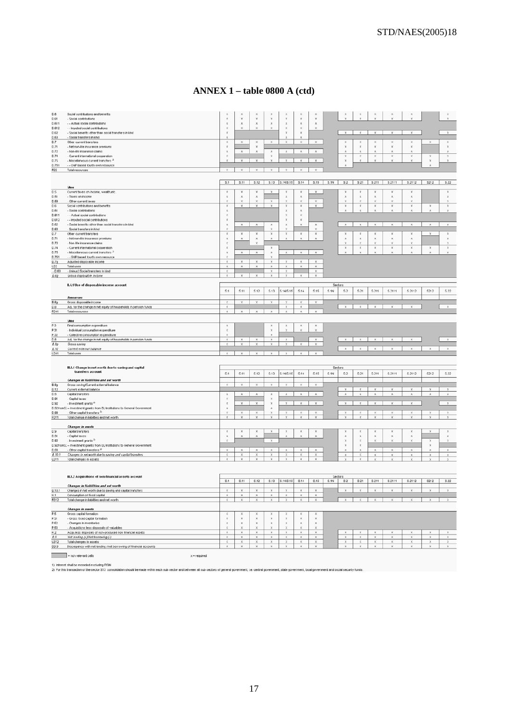# ANNEX  $1$  – table 0800 A (ctd)

| D.6            | Social contributions and benefits                                                   | ×                                              | ×                                    |                                      | $\boldsymbol{\mathsf{x}}$                |                               |                                   | ×                               |         |                                          |                             |                            |                                                | $\mathbf x$                              |                                       |                             |
|----------------|-------------------------------------------------------------------------------------|------------------------------------------------|--------------------------------------|--------------------------------------|------------------------------------------|-------------------------------|-----------------------------------|---------------------------------|---------|------------------------------------------|-----------------------------|----------------------------|------------------------------------------------|------------------------------------------|---------------------------------------|-----------------------------|
| D.61           | - Social contributions                                                              | $\boldsymbol{\mathsf{x}}$                      | $\boldsymbol{\mathsf{x}}$            | $\mathbb X$                          | $\boldsymbol{\mathsf{x}}$                | ×                             | $\mathbb X$                       | $\boldsymbol{\mathsf{x}}$       |         |                                          |                             |                            |                                                |                                          |                                       |                             |
| D.611          | - Actual social contributions                                                       | $\mathbf{x}$                                   | $\mathbf x$<br>$\boldsymbol{\times}$ | $\mathbf x$                          | $\times$<br>$\chi$                       | $\times$                      | $\mathbf x$                       | $\mathbf{x}$                    |         |                                          |                             |                            |                                                |                                          |                                       |                             |
| D.612          | - - Imputed social contributions                                                    | $\times$<br>$\boldsymbol{\mathsf{x}}$          |                                      |                                      |                                          | $\chi$<br>x                   | ×<br>$\mathbf{x}$                 | $\boldsymbol{\times}$           |         | $\mathbf{x}$                             | $\mathbb X$                 | $\mathbf{x}$               | $\times$                                       | $\mathbb X$                              |                                       | $\mathbb X$                 |
| D.62<br>D.63   | - Social benefits other than social transfers in kind<br>- Social transfers in kind | ×                                              |                                      |                                      |                                          |                               |                                   |                                 |         |                                          |                             |                            |                                                |                                          |                                       |                             |
| D.7            | Other current transfers                                                             | $\boldsymbol{\mathsf{x}}$                      | $\boldsymbol{\times}$                | x                                    | $\times$                                 | ×                             | $\boldsymbol{\times}$             | $\boldsymbol{\chi}$             |         | ×                                        | ×                           | ×                          | ×                                              | $\boldsymbol{\times}$                    | $\times$                              | x                           |
| D.71           | - Net non-life insurance premiums                                                   | $\boldsymbol{\mathsf{x}}$                      |                                      | $\boldsymbol{\mathsf{x}}$            |                                          |                               |                                   |                                 |         | $\boldsymbol{\mathsf{x}}$                | ×                           | ×                          | $\mathbf x$                                    | $\mathbf{x}$                             |                                       | $\mathbf{x}$                |
| D.72           | - Non-life insurance claims                                                         | $\boldsymbol{\mathsf{x}}$                      | $\mathbb X$                          | $\mathbf x$                          | $\mathbf x$                              | $\mathbb X$                   | $\mathbb X$                       | $\mathbf x$                     |         | $\mathbf x$                              | ×                           | ×                          |                                                | ×                                        |                                       | $\mathbf{x}$                |
| D.74           | - Current international cooperation                                                 | $\boldsymbol{\times}$                          |                                      |                                      | $\times$                                 |                               |                                   |                                 |         | $\boldsymbol{\times}$                    | $\boldsymbol{\times}$       | $\boldsymbol{\mathsf{x}}$  | ×                                              | $\boldsymbol{\mathsf{x}}$                | $\times$                              | ×                           |
| <b>D.75</b>    | - Mscellaneous current transfers <sup>2</sup>                                       | ×                                              | $\mathbbm{X}$                        | $\mathbb X$                          | $\mathbf{x}$                             | $\mathbf x$                   | $\mathbf x$                       | $\mathbf x$                     |         | $\mathbb X$                              | x                           | $\overline{\mathbf{x}}$    | $\mathbf x$                                    | $\mathbb X$                              | $\mathbb X$                           | $\mathbb X$                 |
| D.751          | - - GNP based fourth own resource                                                   |                                                |                                      |                                      |                                          |                               |                                   |                                 |         | $\mathbf{x}$                             |                             |                            |                                                |                                          |                                       |                             |
| R22            | Total resources                                                                     | $\times$                                       | $\times$                             | $\times$                             | $\boldsymbol{\chi}$                      |                               | $\boldsymbol{\chi}$               | $\boldsymbol{\chi}$             |         |                                          |                             |                            |                                                |                                          |                                       |                             |
|                |                                                                                     |                                                |                                      |                                      |                                          |                               |                                   |                                 |         |                                          |                             |                            |                                                |                                          |                                       |                             |
|                |                                                                                     | S.1                                            | S.11                                 | S.12                                 |                                          | S.13 S.14/S.15 S.14 S.15 S.1N |                                   |                                 |         |                                          | $S2$ $S21$                  | \$211                      | S.2111                                         | S.2112                                   | S212                                  | \$22                        |
|                | <b><i>Ubes</i></b>                                                                  |                                                |                                      |                                      |                                          |                               |                                   |                                 |         |                                          |                             |                            |                                                |                                          |                                       |                             |
| D.5            | Current taxes on income, wealth, etc.                                               | $\boldsymbol{\mathsf{x}}$                      | $\mathbb X$                          | $\boldsymbol{\mathsf{X}}$            | $\boldsymbol{\mathsf{x}}$                | x                             | x                                 | $\mathbf{x}$                    |         | x                                        | ×                           | x                          | $\mathbf x$                                    | $\mathbf x$                              |                                       | $\mathbbm{X}$               |
| D.51<br>D.59   | - Taxes on income                                                                   | $\boldsymbol{\times}$<br>$\boldsymbol{\times}$ | $\mathbb X$<br>$\boldsymbol{\times}$ | $\mathbbm{X}$<br>$\boldsymbol{\chi}$ | $\times$                                 | $\mathbb X$<br>x              | $\mathbb X$<br>×                  |                                 |         | $\mathbf x$<br>$\boldsymbol{\chi}$       | $\mathbbm{X}$<br>×          | $\mathbf x$<br>×           | $\times$<br>$\times$                           | $\mathbb X$<br>$\boldsymbol{\times}$     |                                       | $\mathsf{x}$<br>x           |
| $D.6$          | - Other current taxes<br>Social contributions and benefits                          | $\boldsymbol{\mathsf{x}}$                      | $\boldsymbol{\times}$                | $\boldsymbol{\mathsf{x}}$            | $\boldsymbol{\times}$                    | $\boldsymbol{\mathsf{x}}$     | $\boldsymbol{\mathsf{x}}$         | x<br>$\mathbf x$                |         | $\times$                                 | x                           | $\boldsymbol{\mathsf{x}}$  | $\boldsymbol{\times}$                          | $\boldsymbol{\mathsf{x}}$                | $\boldsymbol{\times}$                 | $\boldsymbol{\mathsf{x}}$   |
| D.61           | - Social contributions                                                              | $\boldsymbol{\mathsf{x}}$                      |                                      |                                      |                                          | $\mathbf x$                   | $\mathbbm{X}$                     |                                 |         | $\mathbf{x}$                             | ×                           | $\overline{\mathbf{x}}$    |                                                | ×                                        | $\mathbf{x}$                          | $\mathbf{x}$                |
| D.611          | - - Actual social contributions                                                     | $\boldsymbol{\times}$                          |                                      |                                      |                                          | ×                             | ×                                 |                                 |         |                                          |                             |                            |                                                |                                          |                                       |                             |
| D.612          | - - Imputed social contributions                                                    | $\boldsymbol{\times}$                          |                                      |                                      |                                          | $\mathbf x$                   | $\mathbb X$                       |                                 |         |                                          |                             |                            |                                                |                                          |                                       |                             |
| D.62           | - Social benefits other than social transfers in kind                               | $\mathbb X$                                    | $\mathbf x$                          | $\mathbb X$                          | $\mathbb X$                              | $\mathbbm{X}$                 | $\boldsymbol{\mathsf{X}}$         | $\mathbb X$                     |         | $\mathbb X$                              | $\mathbb X$                 | $\mathbb X$                | $\mathbb X$                                    | $\mathbb X$                              | $\mathsf X$                           | $\mathsf{x}$                |
| D.63           | - Social transfers in kind                                                          | $\boldsymbol{\times}$                          |                                      |                                      | $\mathbf x$                              | $\boldsymbol{\times}$         |                                   | $\boldsymbol{\chi}$             |         |                                          |                             |                            |                                                |                                          |                                       |                             |
| D.7            | Other current transfers                                                             | $\boldsymbol{\mathsf{x}}$                      | $\boldsymbol{\mathsf{x}}$            | $\boldsymbol{\mathsf{x}}$            | $\boldsymbol{\mathsf{x}}$                | ×                             | $\boldsymbol{\mathsf{x}}$         | $\mathbb X$                     |         | $\boldsymbol{\mathsf{x}}$                | ×                           | ×                          | ×                                              | $\mathbf{x}$                             | $\boldsymbol{\mathsf{x}}$             | $\boldsymbol{\mathsf{x}}$   |
| D.71<br>D.72   | - Net non-life insurance premiums<br>- Non-life insurance claims                    | $\boldsymbol{\mathsf{X}}$<br>$\times$          | $\mathbf x$                          | $\mathbb X$<br>$\boldsymbol{\times}$ | $\boldsymbol{\times}$                    |                               | $\mathbf x$                       | $\boldsymbol{\times}$           |         | $\boldsymbol{\mathsf{X}}$<br>$\mathbf x$ | ×<br>×                      | ×<br>$\mathbf x$           | $\boldsymbol{\times}$<br>$\boldsymbol{\times}$ | $\boldsymbol{\mathsf{X}}$<br>$\mathbf x$ |                                       | x<br>×                      |
| D.74           | - Current international cooperation                                                 | $\boldsymbol{\times}$                          |                                      |                                      | x                                        |                               |                                   |                                 |         | $\mathbb X$                              | $\mathbb X$                 | $\mathbb X$                | $\mathbb X$                                    | $\chi$                                   | $\mathsf X$                           | $\mathbb X$                 |
| D.75           | - Miscellaneous current transfers 2                                                 | $\mathbb X$                                    | $\mathbf x$                          | $\times$                             | $\mathbb X$                              | $\times$                      | $\times$                          | $\times$                        |         | $\mathbf{x}$                             |                             |                            |                                                | ×                                        | $\mathbf{x}$                          | $\mathbf{x}$                |
| D.751          | - - GNP based fourth own resource                                                   | $\boldsymbol{\times}$                          |                                      |                                      |                                          |                               |                                   |                                 |         |                                          |                             |                            |                                                |                                          |                                       |                             |
| 0.7g           | Adjusted disposable income                                                          | $\mathbb X$                                    | $\mathbbm{X}$                        | x                                    | $\boldsymbol{\mathsf{x}}$                | ×                             | $\mathbb X$                       | $\mathbbm{X}$                   |         |                                          |                             |                            |                                                |                                          |                                       |                             |
| U22            | Total uses                                                                          | $\mathbb X$                                    | $\mathbf{x}$                         | $\times$                             | $\mathbf x$                              | $\mathbf x$                   | $\mathbf{x}$                      | $\mathbb X$                     |         |                                          |                             |                            |                                                |                                          |                                       |                             |
| $-D.63$        | - (minus) Social transfers in kind<br>Gross disposable income                       | $\times$<br>$\boldsymbol{\times}$              | $\mathbf x$                          | $\mathbb X$                          | $\mathbf x$<br>$\mathbf x$               | x<br>$\mathbf{x}$             | $\mathbf{x}$                      | $\chi$<br>$\mathbf x$           |         |                                          |                             |                            |                                                |                                          |                                       |                             |
| B.69           |                                                                                     |                                                |                                      |                                      |                                          |                               |                                   |                                 |         |                                          |                             |                            |                                                |                                          |                                       |                             |
|                | IL4.1 Use of disposable income account                                              |                                                |                                      |                                      |                                          |                               |                                   |                                 | Sectors |                                          |                             |                            |                                                |                                          |                                       |                             |
|                |                                                                                     | S.1                                            | 5.11                                 | \$.12                                | S.13                                     | S:14/S:15                     | \$.14                             | S.15                            | S.1N    | \$2                                      | \$21                        | S.211                      | S.2111                                         | S.2112                                   | 5212                                  | \$22                        |
|                |                                                                                     |                                                |                                      |                                      |                                          |                               |                                   |                                 |         |                                          |                             |                            |                                                |                                          |                                       |                             |
| B.6g           | Resources<br>Gross disposable income                                                | $\times$                                       | $\times$                             | $\times$                             | $\propto$                                | ×                             | $\boldsymbol{\chi}$               | $\mathbf x$                     |         |                                          |                             |                            |                                                |                                          |                                       |                             |
| D.B            | Adj. for the change in net equity of households in pension funds                    | ×                                              |                                      |                                      |                                          | x                             | $\mathbb X$                       |                                 |         | x                                        | x                           | $\boldsymbol{\mathsf{x}}$  |                                                | x                                        |                                       | $\mathbbm{X}$               |
| R241           | Total resources                                                                     | $\mathbb X$                                    | $\mathbf x$                          | $\mathbb X$                          | $\mathbb X$                              | $\mathbb X$                   | $\mathbf x$                       | $\times$                        |         |                                          |                             |                            |                                                |                                          |                                       |                             |
|                |                                                                                     |                                                |                                      |                                      |                                          |                               |                                   |                                 |         |                                          |                             |                            |                                                |                                          |                                       |                             |
|                | <b>Lisos</b>                                                                        |                                                |                                      |                                      |                                          |                               |                                   |                                 |         |                                          |                             |                            |                                                |                                          |                                       |                             |
| P.3<br>P.31    | Final consumption expenditure.                                                      | $\mathbf x$<br>$\boldsymbol{\times}$           |                                      |                                      | $\mathbf x$<br>$\times$                  | $\mathbf x$<br>$\mathbf x$    | $\mathbf x$<br>$\bar{\mathbf{x}}$ | $\mathbb X$<br>$\chi$           |         |                                          |                             |                            |                                                |                                          |                                       |                             |
| P.32           | - Individual consumption expenditure<br>- Collective consumption expenditure        | $\boldsymbol{\mathsf{x}}$                      |                                      |                                      | $\mathbf{v}$                             |                               |                                   |                                 |         |                                          |                             |                            |                                                |                                          |                                       |                             |
| D.8            | Adj. for the change in net equity of households in pension funds                    | $\mathbf x$                                    | $\times$                             | $\mathbf x$                          | $\times$                                 | $\times$                      |                                   | $\times$                        |         | $\mathbf x$                              | $\times$                    | $\times$                   |                                                | $\mathbf x$                              |                                       | $\mathbf{x}$                |
|                |                                                                                     | ×                                              |                                      |                                      |                                          |                               |                                   |                                 |         |                                          |                             |                            |                                                |                                          |                                       |                             |
|                | Gross saving                                                                        |                                                | x                                    | ×                                    | $\boldsymbol{\times}$                    | x                             | $\boldsymbol{\chi}$               | $\boldsymbol{\chi}$             |         |                                          |                             |                            |                                                |                                          |                                       |                             |
| B.8g<br>B.12   | Current external balance                                                            |                                                |                                      |                                      |                                          |                               |                                   |                                 |         | $\boldsymbol{\mathsf{x}}$                | $\times$                    | $\mathbf x$                | $\mathbf x$                                    | $\mathbf x$                              | $\boldsymbol{\times}$                 | $\mathbf{x}$                |
| U241           | Total uses                                                                          | $\times$                                       | $\times$                             | $\times$                             | $\times$                                 | $\mathbf{x}$                  | $\mathbf{x}$                      | $\times$                        |         |                                          |                             |                            |                                                |                                          |                                       |                             |
|                |                                                                                     |                                                |                                      |                                      |                                          |                               |                                   |                                 |         |                                          |                             |                            |                                                |                                          |                                       |                             |
|                |                                                                                     |                                                |                                      |                                      |                                          |                               |                                   |                                 | Sectors |                                          |                             |                            |                                                |                                          |                                       |                             |
|                | III.1.1 Change in net worth due to saving and capital<br>transfers account          |                                                |                                      |                                      |                                          |                               |                                   |                                 |         |                                          |                             |                            |                                                |                                          |                                       |                             |
|                |                                                                                     | \$1                                            | 5.11                                 | S.12                                 | S.13                                     | S:14/S:15                     | 5.14                              | 5.15                            | S.1N    | \$2                                      | \$21                        | S.211                      | S.2111                                         | S.2112                                   | \$212                                 | \$22                        |
|                | Changes in liabilities and net worth                                                |                                                | $\times$                             | $\mathbf x$                          |                                          | $\mathbf x$                   | $\mathbf{x}$                      |                                 |         |                                          |                             |                            |                                                |                                          |                                       |                             |
| B.8g           | Gross saving/Current external balance<br>Current external balance                   | $\times$                                       |                                      |                                      | $\times$                                 |                               |                                   | $\chi$                          |         | $\mathbb X$                              | $\mathbb X$                 | $\mathbf x$                | $\mathbb{X}$                                   | $\mathbb X$                              | $\boldsymbol{\times}$                 | $\mathbf x$                 |
| 9.12<br>D.9    | Capital transfers                                                                   | $\boldsymbol{\mathsf{x}}$                      | $\mathbb X$                          | $\mathbb X$                          | $\mathbb X$                              | $\mathbb X$                   | $\mathbb X$                       | $\mathbb X$                     |         | $\mathbb X$                              | x                           | $\boldsymbol{\mathsf{x}}$  |                                                | $\times$                                 | $\mathsf{x}$                          | $\mathbb X$                 |
| D.91           | - Capital taxes                                                                     | $\boldsymbol{\mathsf{x}}$                      |                                      |                                      | $\times$                                 |                               |                                   |                                 |         |                                          |                             |                            |                                                |                                          |                                       |                             |
| D.92           | - Investment grants <sup>2</sup>                                                    | $\boldsymbol{\mathsf{x}}$                      | $\mathbf x$                          | $\boldsymbol{\mathsf{x}}$            | $\boldsymbol{\mathsf{x}}$                | $\mathbf x$                   | $\mathbb X$                       | $\mathbb X$                     |         | $\mathbb X$                              | $\mathbb X$                 | $\mathbf x$                | $\boldsymbol{\times}$                          | $\mathbf x$                              |                                       | $\mathbf x$                 |
|                | D.92fromS: -- Investment grants from EU Institutions to General Government          | $\mathbf x$                                    |                                      |                                      | $\mathbf x$                              |                               |                                   |                                 |         |                                          |                             |                            |                                                |                                          |                                       |                             |
| D.99           | - Other capital transfers <sup>5</sup>                                              | $\boldsymbol{\times}$                          | $\times$                             | $\boldsymbol{\chi}$                  | $\mathbf x$<br>$\boldsymbol{\mathsf{x}}$ | x                             | $\times$                          | x                               |         | $\boldsymbol{\chi}$<br>x                 | ×                           | ×                          | ×                                              | $\boldsymbol{\mathsf{x}}$                | ×                                     | ×                           |
| R311           | Total change in fabilities and net worth                                            | $\boldsymbol{\mathsf{x}}$                      | $\boldsymbol{\mathsf{X}}$            |                                      |                                          |                               |                                   |                                 |         |                                          | ×                           | $\boldsymbol{\mathsf{x}}$  |                                                |                                          |                                       | $\mathsf{x}$                |
|                | Changes in assets                                                                   |                                                |                                      |                                      |                                          |                               |                                   |                                 |         |                                          |                             |                            |                                                |                                          |                                       |                             |
| D.9            | Capital transfers                                                                   | $\boldsymbol{\mathsf{x}}$                      |                                      |                                      |                                          |                               |                                   |                                 |         |                                          |                             |                            |                                                | $\boldsymbol{\mathsf{x}}$                |                                       | $\boldsymbol{\mathsf{x}}$   |
| D.91           | - Capital taxes                                                                     | $\mathbf{x}$                                   | $\mathbf{x}$                         | $\mathbf x$                          |                                          | $\propto$                     | $\mathbf{x}$                      | $\boldsymbol{\times}$           |         | $\mathbf x$                              | ×                           | $\mathbf x$                | $\boldsymbol{\times}$                          | $\boldsymbol{\mathsf{x}}$                |                                       | $\mathbf x$                 |
| D.92           | - Investment grants <sup>2</sup>                                                    | ×                                              |                                      |                                      | $\times$                                 |                               |                                   |                                 |         | $\boldsymbol{\chi}$                      | $\boldsymbol{\chi}$         | $\bar{\mathbf{x}}$         |                                                | $\bar{\mathbf{x}}$                       | $\boldsymbol{\times}$                 | $\boldsymbol{\times}$       |
|                | D.92fromSI -- Investment grants from EU Institutions to General Government          |                                                |                                      |                                      |                                          |                               |                                   |                                 |         | $\boldsymbol{\mathsf{X}}$                | x<br>$\mathbf{x}$           |                            |                                                |                                          | $\boldsymbol{\times}$<br>$\mathbf x$  |                             |
| D.99           | - Other capital transfers $^2$                                                      | $\mathbf x$<br>$\boldsymbol{\times}$           | $\times$<br>$\times$                 | $\times$<br>$\boldsymbol{\times}$    | $\mathbf x$<br>$\boldsymbol{\mathsf{X}}$ | $\times$<br>x                 | $\mathbf x$<br>x                  | $\times$<br>$\boldsymbol{\chi}$ |         | $\mathbf x$<br>$\mathbb X$               | x                           | $\mathbf x$<br>$\mathbf x$ | $\times$<br>$\times$                           | $\mathbf x$<br>$\times$                  | $\mathbf x$                           | $\times$                    |
| B.10.1<br>U311 | Changes in net worth due to saving and capital transfers<br>Total changes in assets | $\mathbf x$                                    | $\mathbf x$                          | $\mathbf x$                          | $\mathbf x$                              | $\mathbf x$                   | $\mathbf x$                       | $\boldsymbol{\times}$           |         | ×                                        | $\boldsymbol{\mathsf{x}}$   |                            |                                                | $\boldsymbol{\times}$                    |                                       | $\mathsf{x}$                |
|                |                                                                                     |                                                |                                      |                                      |                                          |                               |                                   |                                 |         |                                          |                             |                            |                                                |                                          |                                       |                             |
|                |                                                                                     |                                                |                                      |                                      |                                          |                               |                                   |                                 |         |                                          |                             |                            |                                                |                                          |                                       |                             |
|                | III.1.2 Acquisitions of non-financial assets account                                |                                                |                                      |                                      |                                          |                               |                                   |                                 | Sectors |                                          |                             |                            |                                                |                                          |                                       |                             |
|                |                                                                                     | S.1                                            | S.11                                 | S.12                                 | S.13                                     | S.14/S.15                     | S.14                              | S.15                            | S.1N    | \$2                                      | \$21                        | \$211                      | S.2111                                         | S.2112                                   | S212                                  | \$.22                       |
|                | Changes in liabilities and net worth                                                |                                                |                                      |                                      |                                          |                               |                                   |                                 |         |                                          |                             |                            |                                                |                                          |                                       |                             |
| <b>B.10.1</b>  | Changes in net worth due to saving and capital transfers                            | ×                                              | $\boldsymbol{\mathsf{x}}$            |                                      |                                          |                               | x                                 |                                 |         |                                          |                             | ×                          |                                                | $\boldsymbol{\mathsf{x}}$                | $\boldsymbol{\times}$                 | $\boldsymbol{\mathsf{x}}$   |
| K.1            | Consumption of fixed capital                                                        | $\boldsymbol{\mathsf{x}}$                      | $\mathbf x$                          | $\mathbb X$                          | $\mathbf x$                              | $\,$ $\,\rm{X}$               | $\,$ $\,\rm{X}$                   | $\mathbf x$                     |         |                                          |                             |                            |                                                |                                          |                                       |                             |
| R312           | Total change in liabilities and net worth                                           | x                                              | $\times$                             | $\times$                             | $\times$                                 | x                             | $\times$                          | $\chi$                          |         | $\times$                                 | $\boldsymbol{\times}$       | $\mathbf x$                | $\times$                                       | $\times$                                 | $\times$                              | $\times$                    |
|                | <b>Changes in assets</b>                                                            |                                                |                                      |                                      |                                          |                               |                                   |                                 |         |                                          |                             |                            |                                                |                                          |                                       |                             |
| P.5            | Gross capital formation                                                             | $\boldsymbol{\times}$                          | ×                                    | ×                                    | $\boldsymbol{\mathsf{x}}$                | x                             | ×                                 | $\boldsymbol{\mathsf{X}}$       |         |                                          |                             |                            |                                                |                                          |                                       |                             |
| P.51           | - Gross fixed capital formation                                                     | $\boldsymbol{\mathsf{x}}$                      | $\boldsymbol{\mathsf{x}}$            | $\boldsymbol{\times}$                | $\mathbf x$                              | $\mathbf x$                   | $\mathbbm{X}$                     | $\mathbb X$                     |         |                                          |                             |                            |                                                |                                          |                                       |                             |
| P.52           | - Changes in inventories                                                            | $\mathbf x$                                    | $\times$                             | $\times$                             | $\times$                                 | $\times$                      | $\times$                          | $\times$                        |         |                                          |                             |                            |                                                |                                          |                                       |                             |
| P.53           | - Acquisitions less disposals of valuables                                          | $\boldsymbol{\times}$                          | $\boldsymbol{\times}$                | $\chi$                               | $\times$                                 | ×                             | $\chi$                            | $\chi$                          |         |                                          |                             |                            |                                                |                                          |                                       |                             |
| K.2            | Acquiless disposals of non-produced non financial assets                            | $\boldsymbol{\times}$                          | $\mathbf{x}$<br>$\rm X$              | $\boldsymbol{\times}$<br>$\mathbb X$ | $\mathbf{x}$<br>$\mathbb X$              | $\mathbf{x}$<br>$\mathbb X$   | $\mathbf{x}$<br>$\mathbb X$       | $\mathbf{x}$<br>$\mathbb X$     |         | $\mathbf x$<br>х                         | $\mathbf{x}$<br>$\mathbb X$ | $\mathbf{x}$<br>х          | $\mathbf x$<br>$\mathbb X$                     | $\mathbf{x}$<br>$\mathbb X$              | $\boldsymbol{\times}$<br>$\mathsf{x}$ | $\mathbf{x}$<br>$\mathbb X$ |
| 8.9<br>U312    | Net lending (+)/Net borrowing (-)<br>Total changes in assets                        | $\mathbb X$<br>$\times$                        | $\boldsymbol{\mathsf{X}}$            | $\times$                             | $\boldsymbol{\times}$                    | ×                             | $\boldsymbol{\mathsf{X}}$         | $\boldsymbol{\chi}$             |         | x                                        | $\boldsymbol{\mathsf{X}}$   | $\boldsymbol{\mathsf{X}}$  | ×                                              | $\boldsymbol{\times}$                    | ×                                     | x.                          |
| DB.9           | Discrepancy with net lending / net borrowing of financial accounts                  | x                                              | $\times$                             | x                                    | $\boldsymbol{\mathsf{x}}$                | x                             | x                                 | $\boldsymbol{\mathsf{x}}$       |         | x                                        | x                           | x                          | x                                              | $\mathbbm{X}$                            | $\times$                              | $\mathbf x$                 |
|                | = non relevant cells<br>$\times$ = required                                         |                                                |                                      |                                      |                                          |                               |                                   |                                 |         |                                          |                             |                            |                                                |                                          |                                       |                             |

1) interest shall be recorded excluding FEM<br>2) For this transaction of the sector S13 consolidation should be made within each sub-sector and between all sub-sectors of general government, i.e. central government, state go